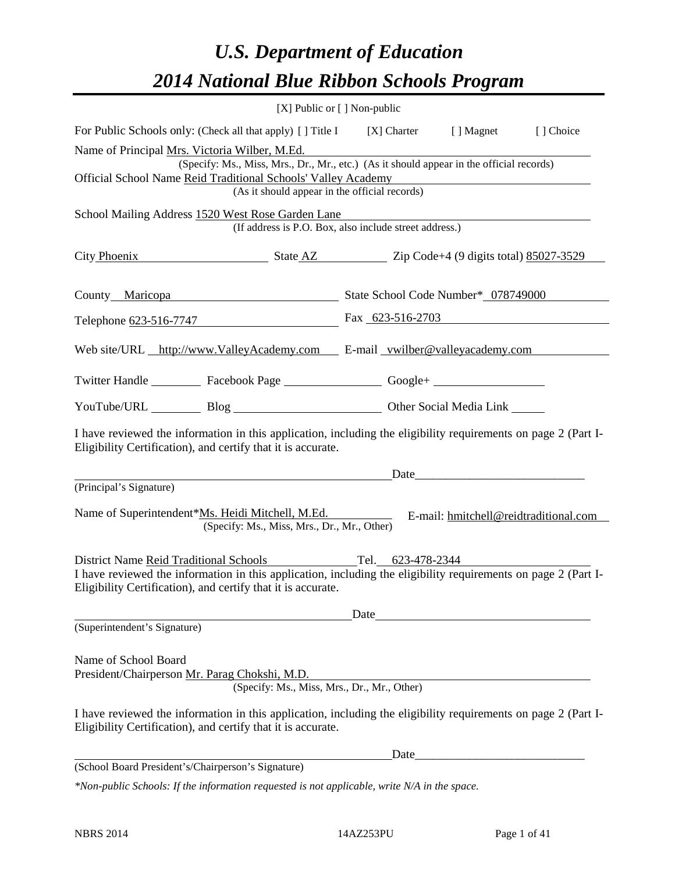### *U.S. Department of Education 2014 National Blue Ribbon Schools Program*

|                                               |                                                                                                                                                                                                                                                             | $[X]$ Public or $[ ]$ Non-public |                                                                                                                                                                                                                               |                                       |
|-----------------------------------------------|-------------------------------------------------------------------------------------------------------------------------------------------------------------------------------------------------------------------------------------------------------------|----------------------------------|-------------------------------------------------------------------------------------------------------------------------------------------------------------------------------------------------------------------------------|---------------------------------------|
|                                               | For Public Schools only: (Check all that apply) [] Title I [X] Charter [] Magnet                                                                                                                                                                            |                                  |                                                                                                                                                                                                                               | [] Choice                             |
|                                               | Name of Principal Mrs. Victoria Wilber, M.Ed.<br>(Specify: Ms., Miss, Mrs., Dr., Mr., etc.) (As it should appear in the official records)<br>Official School Name Reid Traditional Schools' Valley Academy<br>(As it should appear in the official records) |                                  | <u> 1980 - Johann Barn, mars eta bainar eta baina eta baina eta baina eta baina eta baina eta baina eta baina e</u>                                                                                                           |                                       |
|                                               | School Mailing Address 1520 West Rose Garden Lane<br>(If address is P.O. Box, also include street address.)                                                                                                                                                 |                                  |                                                                                                                                                                                                                               |                                       |
|                                               | City Phoenix State AZ Zip Code+4 (9 digits total) 85027-3529                                                                                                                                                                                                |                                  |                                                                                                                                                                                                                               |                                       |
|                                               | County Maricopa State School Code Number* 078749000                                                                                                                                                                                                         |                                  |                                                                                                                                                                                                                               |                                       |
|                                               | Telephone 623-516-7747 Fax 623-516-2703                                                                                                                                                                                                                     |                                  |                                                                                                                                                                                                                               |                                       |
|                                               | Web site/URL http://www.ValleyAcademy.com E-mail vwilber@valleyacademy.com                                                                                                                                                                                  |                                  |                                                                                                                                                                                                                               |                                       |
|                                               | Twitter Handle ___________ Facebook Page ___________________ Google+ ____________                                                                                                                                                                           |                                  |                                                                                                                                                                                                                               |                                       |
|                                               | YouTube/URL Blog Blog Discount Cher Social Media Link                                                                                                                                                                                                       |                                  |                                                                                                                                                                                                                               |                                       |
|                                               | I have reviewed the information in this application, including the eligibility requirements on page 2 (Part I-<br>Eligibility Certification), and certify that it is accurate.                                                                              |                                  |                                                                                                                                                                                                                               |                                       |
| (Principal's Signature)                       |                                                                                                                                                                                                                                                             |                                  | Date and the same state of the state of the state of the state of the state of the state of the state of the state of the state of the state of the state of the state of the state of the state of the state of the state of |                                       |
|                                               | Name of Superintendent*Ms. Heidi Mitchell, M.Ed.<br>(Specify: Ms., Miss, Mrs., Dr., Mr., Other)                                                                                                                                                             |                                  |                                                                                                                                                                                                                               | E-mail: hmitchell@reidtraditional.com |
| <b>District Name Reid Traditional Schools</b> |                                                                                                                                                                                                                                                             | Tel. 623-478-2344                |                                                                                                                                                                                                                               |                                       |
|                                               | I have reviewed the information in this application, including the eligibility requirements on page 2 (Part I-<br>Eligibility Certification), and certify that it is accurate.                                                                              |                                  |                                                                                                                                                                                                                               |                                       |
|                                               |                                                                                                                                                                                                                                                             | Date                             |                                                                                                                                                                                                                               |                                       |
| (Superintendent's Signature)                  |                                                                                                                                                                                                                                                             |                                  |                                                                                                                                                                                                                               |                                       |
| Name of School Board                          | President/Chairperson Mr. Parag Chokshi, M.D.<br>(Specify: Ms., Miss, Mrs., Dr., Mr., Other)                                                                                                                                                                |                                  |                                                                                                                                                                                                                               |                                       |
|                                               | I have reviewed the information in this application, including the eligibility requirements on page 2 (Part I-<br>Eligibility Certification), and certify that it is accurate.                                                                              |                                  |                                                                                                                                                                                                                               |                                       |
|                                               |                                                                                                                                                                                                                                                             | Date                             | <u> 1980 - Jan Barbara Barbara, maska kardinal (</u>                                                                                                                                                                          |                                       |
|                                               | (School Board President's/Chairperson's Signature)                                                                                                                                                                                                          |                                  |                                                                                                                                                                                                                               |                                       |
|                                               | *Non-public Schools: If the information requested is not applicable, write N/A in the space.                                                                                                                                                                |                                  |                                                                                                                                                                                                                               |                                       |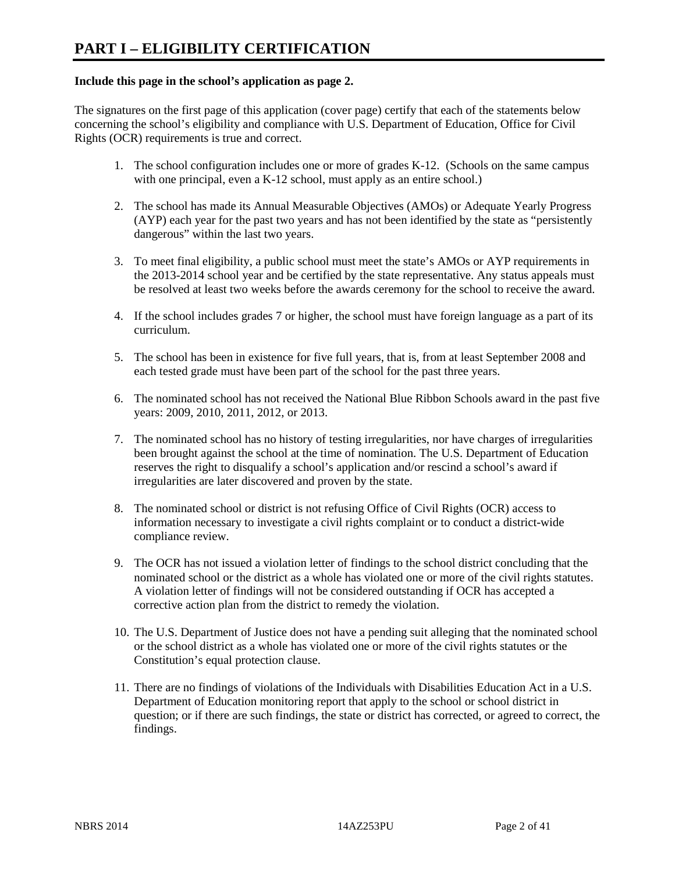#### **Include this page in the school's application as page 2.**

The signatures on the first page of this application (cover page) certify that each of the statements below concerning the school's eligibility and compliance with U.S. Department of Education, Office for Civil Rights (OCR) requirements is true and correct.

- 1. The school configuration includes one or more of grades K-12. (Schools on the same campus with one principal, even a K-12 school, must apply as an entire school.)
- 2. The school has made its Annual Measurable Objectives (AMOs) or Adequate Yearly Progress (AYP) each year for the past two years and has not been identified by the state as "persistently dangerous" within the last two years.
- 3. To meet final eligibility, a public school must meet the state's AMOs or AYP requirements in the 2013-2014 school year and be certified by the state representative. Any status appeals must be resolved at least two weeks before the awards ceremony for the school to receive the award.
- 4. If the school includes grades 7 or higher, the school must have foreign language as a part of its curriculum.
- 5. The school has been in existence for five full years, that is, from at least September 2008 and each tested grade must have been part of the school for the past three years.
- 6. The nominated school has not received the National Blue Ribbon Schools award in the past five years: 2009, 2010, 2011, 2012, or 2013.
- 7. The nominated school has no history of testing irregularities, nor have charges of irregularities been brought against the school at the time of nomination. The U.S. Department of Education reserves the right to disqualify a school's application and/or rescind a school's award if irregularities are later discovered and proven by the state.
- 8. The nominated school or district is not refusing Office of Civil Rights (OCR) access to information necessary to investigate a civil rights complaint or to conduct a district-wide compliance review.
- 9. The OCR has not issued a violation letter of findings to the school district concluding that the nominated school or the district as a whole has violated one or more of the civil rights statutes. A violation letter of findings will not be considered outstanding if OCR has accepted a corrective action plan from the district to remedy the violation.
- 10. The U.S. Department of Justice does not have a pending suit alleging that the nominated school or the school district as a whole has violated one or more of the civil rights statutes or the Constitution's equal protection clause.
- 11. There are no findings of violations of the Individuals with Disabilities Education Act in a U.S. Department of Education monitoring report that apply to the school or school district in question; or if there are such findings, the state or district has corrected, or agreed to correct, the findings.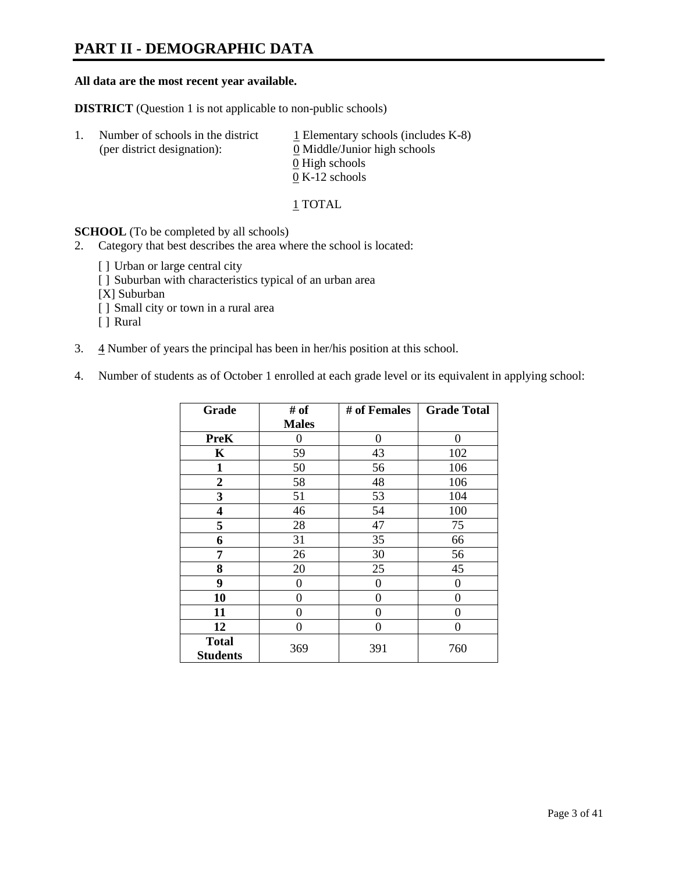### **PART II - DEMOGRAPHIC DATA**

#### **All data are the most recent year available.**

**DISTRICT** (Question 1 is not applicable to non-public schools)

| $\perp$ . | Number of schools in the district<br>(per district designation): | $\perp$ Elementary schools (includes K-8)<br>0 Middle/Junior high schools |
|-----------|------------------------------------------------------------------|---------------------------------------------------------------------------|
|           |                                                                  | 0 High schools<br>$0 K-12$ schools                                        |
|           |                                                                  |                                                                           |

1 TOTAL

**SCHOOL** (To be completed by all schools)

- 2. Category that best describes the area where the school is located:
	- [] Urban or large central city
	- [ ] Suburban with characteristics typical of an urban area
	- [X] Suburban
	- [ ] Small city or town in a rural area
	- [ ] Rural
- 3.  $\frac{4}{3}$  Number of years the principal has been in her/his position at this school.
- 4. Number of students as of October 1 enrolled at each grade level or its equivalent in applying school:

| Grade                           | # of         | # of Females | <b>Grade Total</b> |
|---------------------------------|--------------|--------------|--------------------|
|                                 | <b>Males</b> |              |                    |
| <b>PreK</b>                     | 0            | 0            | 0                  |
| K                               | 59           | 43           | 102                |
| $\mathbf{1}$                    | 50           | 56           | 106                |
| $\overline{2}$                  | 58           | 48           | 106                |
| 3                               | 51           | 53           | 104                |
| 4                               | 46           | 54           | 100                |
| 5                               | 28           | 47           | 75                 |
| 6                               | 31           | 35           | 66                 |
| 7                               | 26           | 30           | 56                 |
| 8                               | 20           | 25           | 45                 |
| 9                               | 0            | 0            | $\theta$           |
| 10                              | $\theta$     | $\theta$     | 0                  |
| 11                              | 0            | 0            | 0                  |
| 12                              | 0            | 0            | 0                  |
| <b>Total</b><br><b>Students</b> | 369          | 391          | 760                |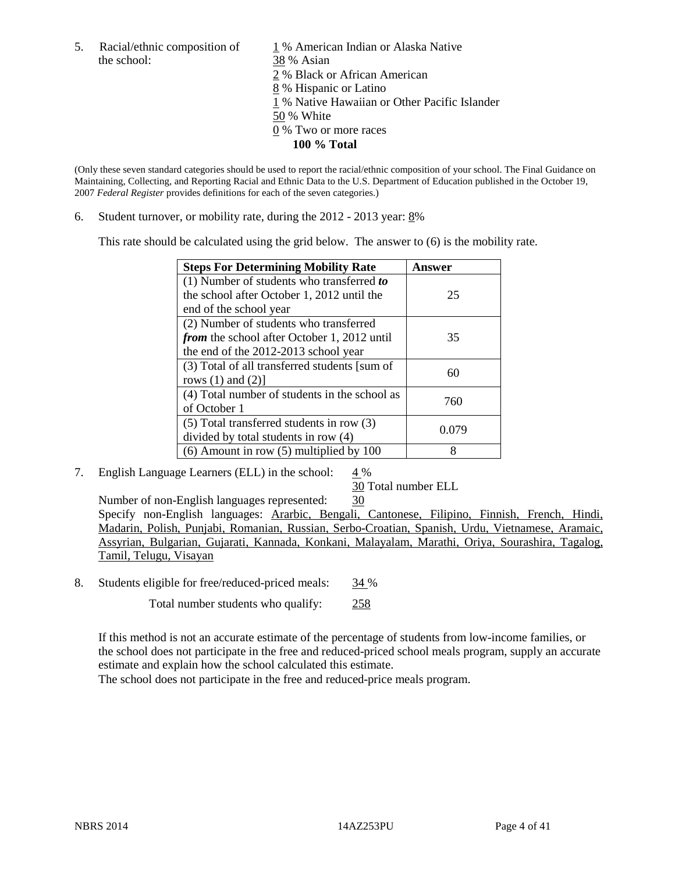the school: 38 % Asian

5. Racial/ethnic composition of 1 % American Indian or Alaska Native 2 % Black or African American 8 % Hispanic or Latino 1 % Native Hawaiian or Other Pacific Islander 50 % White 0 % Two or more races **100 % Total** 

(Only these seven standard categories should be used to report the racial/ethnic composition of your school. The Final Guidance on Maintaining, Collecting, and Reporting Racial and Ethnic Data to the U.S. Department of Education published in the October 19, 2007 *Federal Register* provides definitions for each of the seven categories.)

6. Student turnover, or mobility rate, during the  $2012 - 2013$  year:  $8\%$ 

This rate should be calculated using the grid below. The answer to (6) is the mobility rate.

| <b>Steps For Determining Mobility Rate</b>    | Answer |
|-----------------------------------------------|--------|
| (1) Number of students who transferred to     |        |
| the school after October 1, 2012 until the    | 25     |
| end of the school year                        |        |
| (2) Number of students who transferred        |        |
| from the school after October 1, 2012 until   | 35     |
| the end of the 2012-2013 school year          |        |
| (3) Total of all transferred students [sum of | 60     |
| rows $(1)$ and $(2)$ ]                        |        |
| (4) Total number of students in the school as | 760    |
| of October 1                                  |        |
| $(5)$ Total transferred students in row $(3)$ | 0.079  |
| divided by total students in row (4)          |        |
| $(6)$ Amount in row $(5)$ multiplied by 100   | 8      |

7. English Language Learners (ELL) in the school:  $4\%$ 

30 Total number ELL

Number of non-English languages represented: 30 Specify non-English languages: Ararbic, Bengali, Cantonese, Filipino, Finnish, French, Hindi, Madarin, Polish, Punjabi, Romanian, Russian, Serbo-Croatian, Spanish, Urdu, Vietnamese, Aramaic, Assyrian, Bulgarian, Gujarati, Kannada, Konkani, Malayalam, Marathi, Oriya, Sourashira, Tagalog, Tamil, Telugu, Visayan

8. Students eligible for free/reduced-priced meals: 34 %

Total number students who qualify: 258

If this method is not an accurate estimate of the percentage of students from low-income families, or the school does not participate in the free and reduced-priced school meals program, supply an accurate estimate and explain how the school calculated this estimate.

The school does not participate in the free and reduced-price meals program.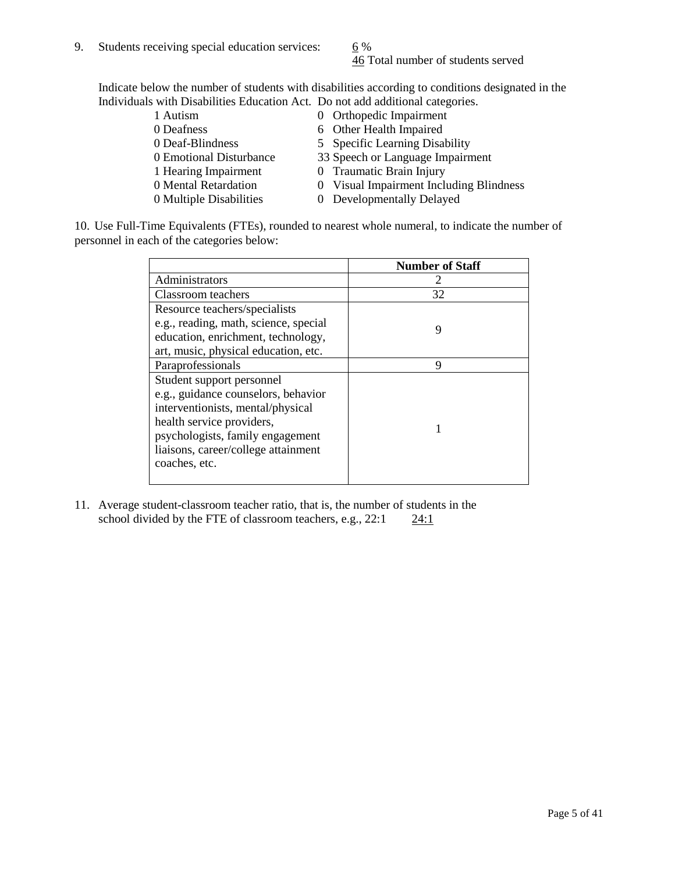46 Total number of students served

Indicate below the number of students with disabilities according to conditions designated in the Individuals with Disabilities Education Act. Do not add additional categories.

| 1 Autism                | 0 Orthopedic Impairment                 |
|-------------------------|-----------------------------------------|
| 0 Deafness              | 6 Other Health Impaired                 |
| 0 Deaf-Blindness        | 5 Specific Learning Disability          |
| 0 Emotional Disturbance | 33 Speech or Language Impairment        |
| 1 Hearing Impairment    | 0 Traumatic Brain Injury                |
| 0 Mental Retardation    | 0 Visual Impairment Including Blindness |
| 0 Multiple Disabilities | 0 Developmentally Delayed               |
|                         |                                         |

10. Use Full-Time Equivalents (FTEs), rounded to nearest whole numeral, to indicate the number of personnel in each of the categories below:

|                                       | <b>Number of Staff</b> |
|---------------------------------------|------------------------|
| Administrators                        |                        |
| Classroom teachers                    | 32                     |
| Resource teachers/specialists         |                        |
| e.g., reading, math, science, special | 9                      |
| education, enrichment, technology,    |                        |
| art, music, physical education, etc.  |                        |
| Paraprofessionals                     | 9                      |
| Student support personnel             |                        |
| e.g., guidance counselors, behavior   |                        |
| interventionists, mental/physical     |                        |
| health service providers,             |                        |
| psychologists, family engagement      |                        |
| liaisons, career/college attainment   |                        |
| coaches, etc.                         |                        |
|                                       |                        |

11. Average student-classroom teacher ratio, that is, the number of students in the school divided by the FTE of classroom teachers, e.g.,  $22:1$   $24:1$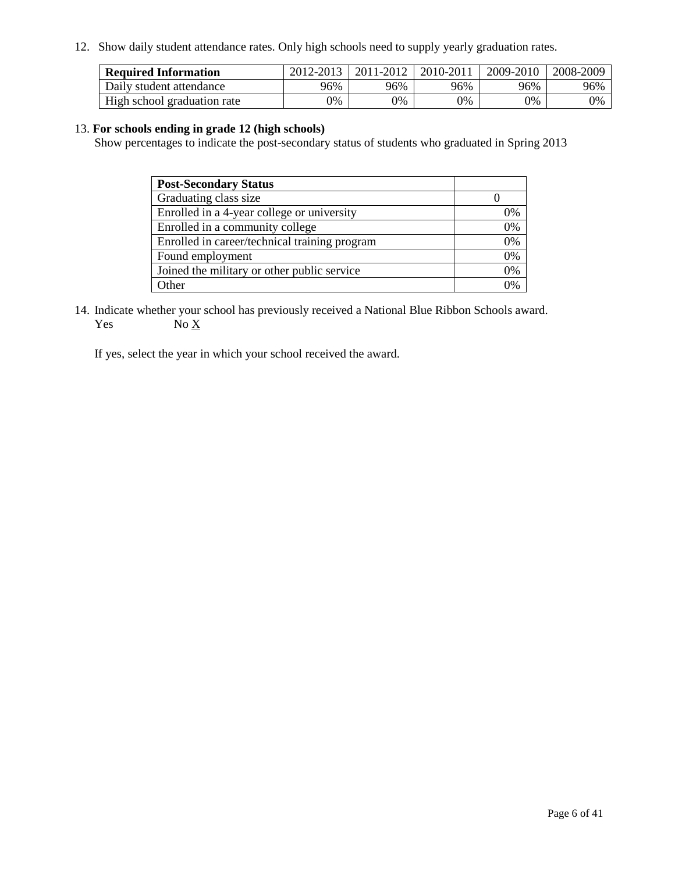12. Show daily student attendance rates. Only high schools need to supply yearly graduation rates.

| <b>Required Information</b> | 2012-2013 | 2011-2012 | 2010-2011 | 2009-2010 | 2008-2009 |
|-----------------------------|-----------|-----------|-----------|-----------|-----------|
| Daily student attendance    | 96%       | 96%       | 96%       | 96%       | 96%       |
| High school graduation rate | 0%        | 9%        | 0%        | 0%        | 0%        |

#### 13. **For schools ending in grade 12 (high schools)**

Show percentages to indicate the post-secondary status of students who graduated in Spring 2013

| <b>Post-Secondary Status</b>                  |    |
|-----------------------------------------------|----|
| Graduating class size                         |    |
| Enrolled in a 4-year college or university    | 0% |
| Enrolled in a community college               | 0% |
| Enrolled in career/technical training program | 0% |
| Found employment                              | 0% |
| Joined the military or other public service   | 0% |
| <b>Other</b>                                  | 2% |

14. Indicate whether your school has previously received a National Blue Ribbon Schools award. Yes  $No \underline{X}$ 

If yes, select the year in which your school received the award.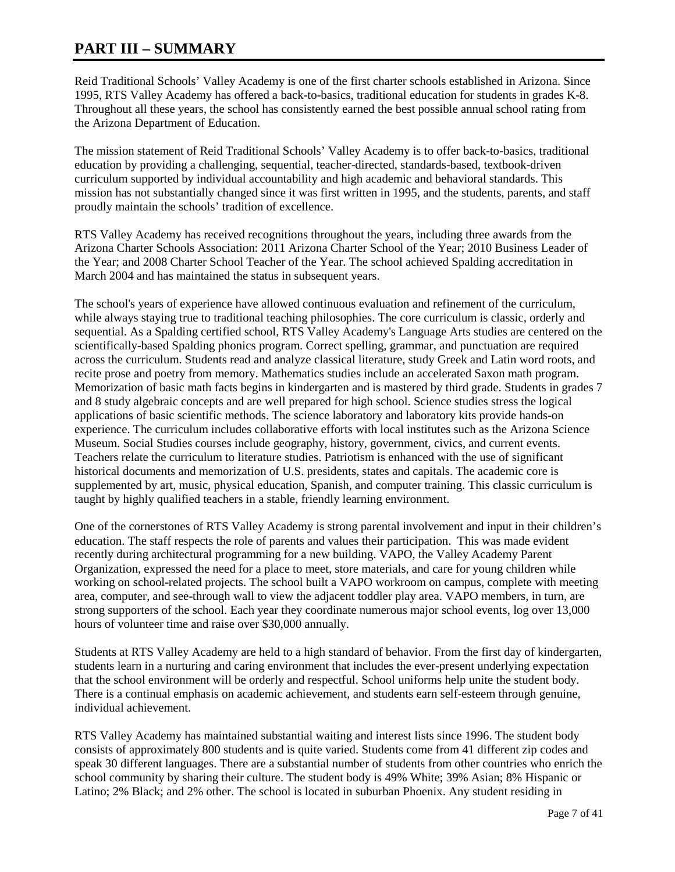### **PART III – SUMMARY**

Reid Traditional Schools' Valley Academy is one of the first charter schools established in Arizona. Since 1995, RTS Valley Academy has offered a back-to-basics, traditional education for students in grades K-8. Throughout all these years, the school has consistently earned the best possible annual school rating from the Arizona Department of Education.

The mission statement of Reid Traditional Schools' Valley Academy is to offer back-to-basics, traditional education by providing a challenging, sequential, teacher-directed, standards-based, textbook-driven curriculum supported by individual accountability and high academic and behavioral standards. This mission has not substantially changed since it was first written in 1995, and the students, parents, and staff proudly maintain the schools' tradition of excellence.

RTS Valley Academy has received recognitions throughout the years, including three awards from the Arizona Charter Schools Association: 2011 Arizona Charter School of the Year; 2010 Business Leader of the Year; and 2008 Charter School Teacher of the Year. The school achieved Spalding accreditation in March 2004 and has maintained the status in subsequent years.

The school's years of experience have allowed continuous evaluation and refinement of the curriculum, while always staying true to traditional teaching philosophies. The core curriculum is classic, orderly and sequential. As a Spalding certified school, RTS Valley Academy's Language Arts studies are centered on the scientifically-based Spalding phonics program. Correct spelling, grammar, and punctuation are required across the curriculum. Students read and analyze classical literature, study Greek and Latin word roots, and recite prose and poetry from memory. Mathematics studies include an accelerated Saxon math program. Memorization of basic math facts begins in kindergarten and is mastered by third grade. Students in grades 7 and 8 study algebraic concepts and are well prepared for high school. Science studies stress the logical applications of basic scientific methods. The science laboratory and laboratory kits provide hands-on experience. The curriculum includes collaborative efforts with local institutes such as the Arizona Science Museum. Social Studies courses include geography, history, government, civics, and current events. Teachers relate the curriculum to literature studies. Patriotism is enhanced with the use of significant historical documents and memorization of U.S. presidents, states and capitals. The academic core is supplemented by art, music, physical education, Spanish, and computer training. This classic curriculum is taught by highly qualified teachers in a stable, friendly learning environment.

One of the cornerstones of RTS Valley Academy is strong parental involvement and input in their children's education. The staff respects the role of parents and values their participation. This was made evident recently during architectural programming for a new building. VAPO, the Valley Academy Parent Organization, expressed the need for a place to meet, store materials, and care for young children while working on school-related projects. The school built a VAPO workroom on campus, complete with meeting area, computer, and see-through wall to view the adjacent toddler play area. VAPO members, in turn, are strong supporters of the school. Each year they coordinate numerous major school events, log over 13,000 hours of volunteer time and raise over \$30,000 annually.

Students at RTS Valley Academy are held to a high standard of behavior. From the first day of kindergarten, students learn in a nurturing and caring environment that includes the ever-present underlying expectation that the school environment will be orderly and respectful. School uniforms help unite the student body. There is a continual emphasis on academic achievement, and students earn self-esteem through genuine, individual achievement.

RTS Valley Academy has maintained substantial waiting and interest lists since 1996. The student body consists of approximately 800 students and is quite varied. Students come from 41 different zip codes and speak 30 different languages. There are a substantial number of students from other countries who enrich the school community by sharing their culture. The student body is 49% White; 39% Asian; 8% Hispanic or Latino; 2% Black; and 2% other. The school is located in suburban Phoenix. Any student residing in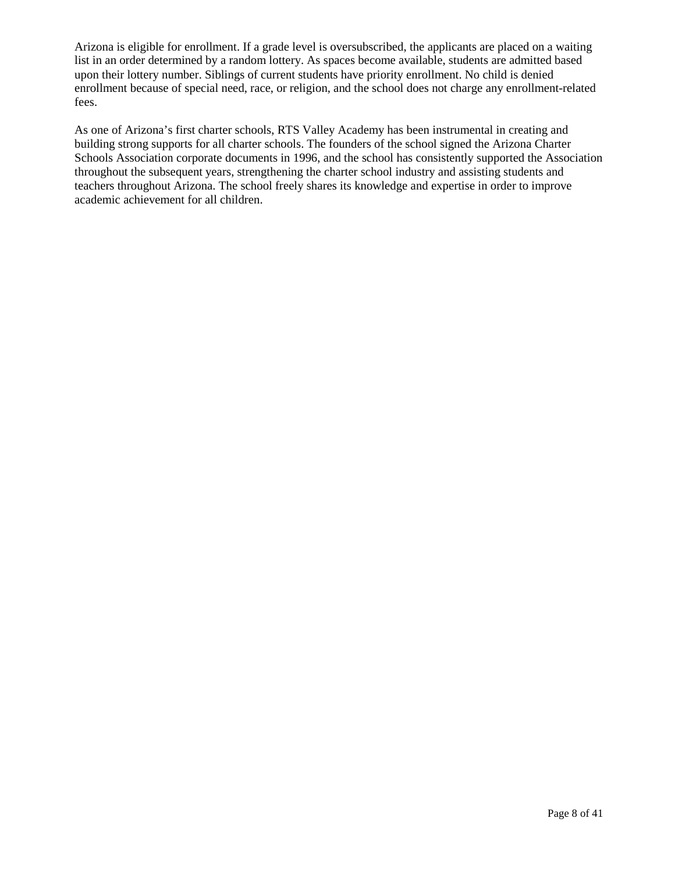Arizona is eligible for enrollment. If a grade level is oversubscribed, the applicants are placed on a waiting list in an order determined by a random lottery. As spaces become available, students are admitted based upon their lottery number. Siblings of current students have priority enrollment. No child is denied enrollment because of special need, race, or religion, and the school does not charge any enrollment-related fees.

As one of Arizona's first charter schools, RTS Valley Academy has been instrumental in creating and building strong supports for all charter schools. The founders of the school signed the Arizona Charter Schools Association corporate documents in 1996, and the school has consistently supported the Association throughout the subsequent years, strengthening the charter school industry and assisting students and teachers throughout Arizona. The school freely shares its knowledge and expertise in order to improve academic achievement for all children.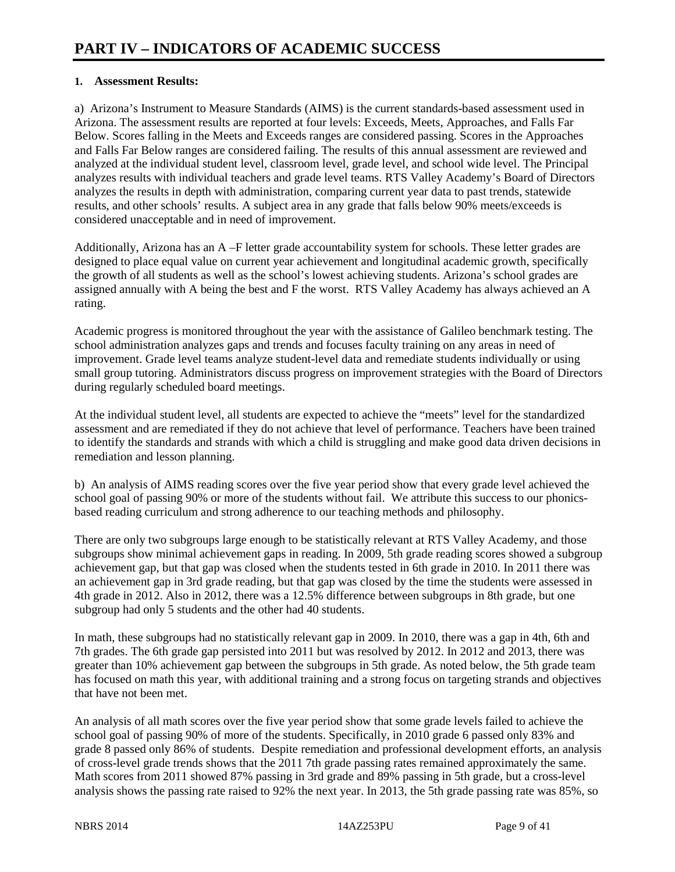#### **1. Assessment Results:**

a) Arizona's Instrument to Measure Standards (AIMS) is the current standards-based assessment used in Arizona. The assessment results are reported at four levels: Exceeds, Meets, Approaches, and Falls Far Below. Scores falling in the Meets and Exceeds ranges are considered passing. Scores in the Approaches and Falls Far Below ranges are considered failing. The results of this annual assessment are reviewed and analyzed at the individual student level, classroom level, grade level, and school wide level. The Principal analyzes results with individual teachers and grade level teams. RTS Valley Academy's Board of Directors analyzes the results in depth with administration, comparing current year data to past trends, statewide results, and other schools' results. A subject area in any grade that falls below 90% meets/exceeds is considered unacceptable and in need of improvement.

Additionally, Arizona has an A –F letter grade accountability system for schools. These letter grades are designed to place equal value on current year achievement and longitudinal academic growth, specifically the growth of all students as well as the school's lowest achieving students. Arizona's school grades are assigned annually with A being the best and F the worst. RTS Valley Academy has always achieved an A rating.

Academic progress is monitored throughout the year with the assistance of Galileo benchmark testing. The school administration analyzes gaps and trends and focuses faculty training on any areas in need of improvement. Grade level teams analyze student-level data and remediate students individually or using small group tutoring. Administrators discuss progress on improvement strategies with the Board of Directors during regularly scheduled board meetings.

At the individual student level, all students are expected to achieve the "meets" level for the standardized assessment and are remediated if they do not achieve that level of performance. Teachers have been trained to identify the standards and strands with which a child is struggling and make good data driven decisions in remediation and lesson planning.

b) An analysis of AIMS reading scores over the five year period show that every grade level achieved the school goal of passing 90% or more of the students without fail. We attribute this success to our phonicsbased reading curriculum and strong adherence to our teaching methods and philosophy.

There are only two subgroups large enough to be statistically relevant at RTS Valley Academy, and those subgroups show minimal achievement gaps in reading. In 2009, 5th grade reading scores showed a subgroup achievement gap, but that gap was closed when the students tested in 6th grade in 2010. In 2011 there was an achievement gap in 3rd grade reading, but that gap was closed by the time the students were assessed in 4th grade in 2012. Also in 2012, there was a 12.5% difference between subgroups in 8th grade, but one subgroup had only 5 students and the other had 40 students.

In math, these subgroups had no statistically relevant gap in 2009. In 2010, there was a gap in 4th, 6th and 7th grades. The 6th grade gap persisted into 2011 but was resolved by 2012. In 2012 and 2013, there was greater than 10% achievement gap between the subgroups in 5th grade. As noted below, the 5th grade team has focused on math this year, with additional training and a strong focus on targeting strands and objectives that have not been met.

An analysis of all math scores over the five year period show that some grade levels failed to achieve the school goal of passing 90% of more of the students. Specifically, in 2010 grade 6 passed only 83% and grade 8 passed only 86% of students. Despite remediation and professional development efforts, an analysis of cross-level grade trends shows that the 2011 7th grade passing rates remained approximately the same. Math scores from 2011 showed 87% passing in 3rd grade and 89% passing in 5th grade, but a cross-level analysis shows the passing rate raised to 92% the next year. In 2013, the 5th grade passing rate was 85%, so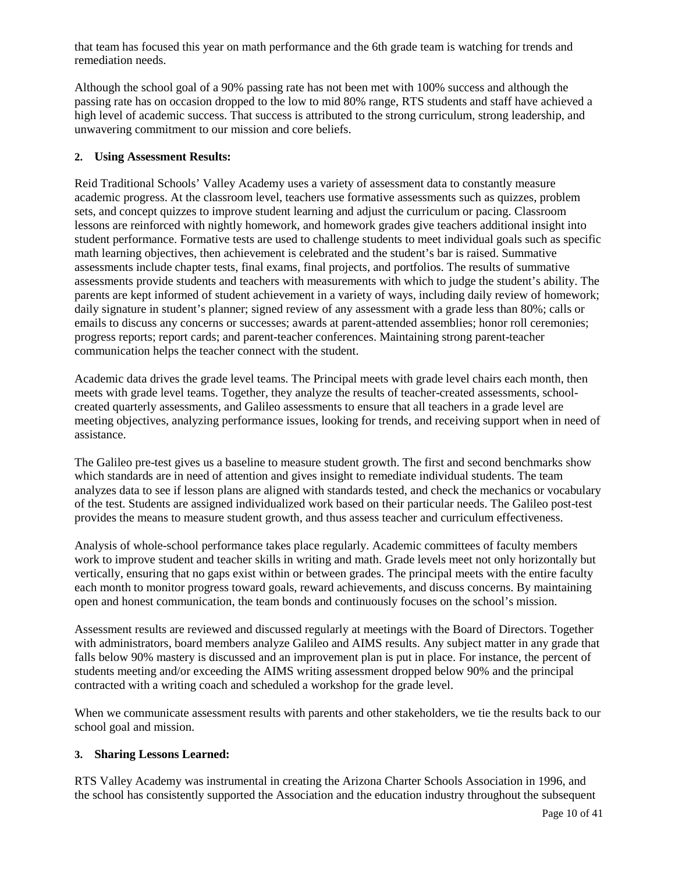that team has focused this year on math performance and the 6th grade team is watching for trends and remediation needs.

Although the school goal of a 90% passing rate has not been met with 100% success and although the passing rate has on occasion dropped to the low to mid 80% range, RTS students and staff have achieved a high level of academic success. That success is attributed to the strong curriculum, strong leadership, and unwavering commitment to our mission and core beliefs.

#### **2. Using Assessment Results:**

Reid Traditional Schools' Valley Academy uses a variety of assessment data to constantly measure academic progress. At the classroom level, teachers use formative assessments such as quizzes, problem sets, and concept quizzes to improve student learning and adjust the curriculum or pacing. Classroom lessons are reinforced with nightly homework, and homework grades give teachers additional insight into student performance. Formative tests are used to challenge students to meet individual goals such as specific math learning objectives, then achievement is celebrated and the student's bar is raised. Summative assessments include chapter tests, final exams, final projects, and portfolios. The results of summative assessments provide students and teachers with measurements with which to judge the student's ability. The parents are kept informed of student achievement in a variety of ways, including daily review of homework; daily signature in student's planner; signed review of any assessment with a grade less than 80%; calls or emails to discuss any concerns or successes; awards at parent-attended assemblies; honor roll ceremonies; progress reports; report cards; and parent-teacher conferences. Maintaining strong parent-teacher communication helps the teacher connect with the student.

Academic data drives the grade level teams. The Principal meets with grade level chairs each month, then meets with grade level teams. Together, they analyze the results of teacher-created assessments, schoolcreated quarterly assessments, and Galileo assessments to ensure that all teachers in a grade level are meeting objectives, analyzing performance issues, looking for trends, and receiving support when in need of assistance.

The Galileo pre-test gives us a baseline to measure student growth. The first and second benchmarks show which standards are in need of attention and gives insight to remediate individual students. The team analyzes data to see if lesson plans are aligned with standards tested, and check the mechanics or vocabulary of the test. Students are assigned individualized work based on their particular needs. The Galileo post-test provides the means to measure student growth, and thus assess teacher and curriculum effectiveness.

Analysis of whole-school performance takes place regularly. Academic committees of faculty members work to improve student and teacher skills in writing and math. Grade levels meet not only horizontally but vertically, ensuring that no gaps exist within or between grades. The principal meets with the entire faculty each month to monitor progress toward goals, reward achievements, and discuss concerns. By maintaining open and honest communication, the team bonds and continuously focuses on the school's mission.

Assessment results are reviewed and discussed regularly at meetings with the Board of Directors. Together with administrators, board members analyze Galileo and AIMS results. Any subject matter in any grade that falls below 90% mastery is discussed and an improvement plan is put in place. For instance, the percent of students meeting and/or exceeding the AIMS writing assessment dropped below 90% and the principal contracted with a writing coach and scheduled a workshop for the grade level.

When we communicate assessment results with parents and other stakeholders, we tie the results back to our school goal and mission.

#### **3. Sharing Lessons Learned:**

RTS Valley Academy was instrumental in creating the Arizona Charter Schools Association in 1996, and the school has consistently supported the Association and the education industry throughout the subsequent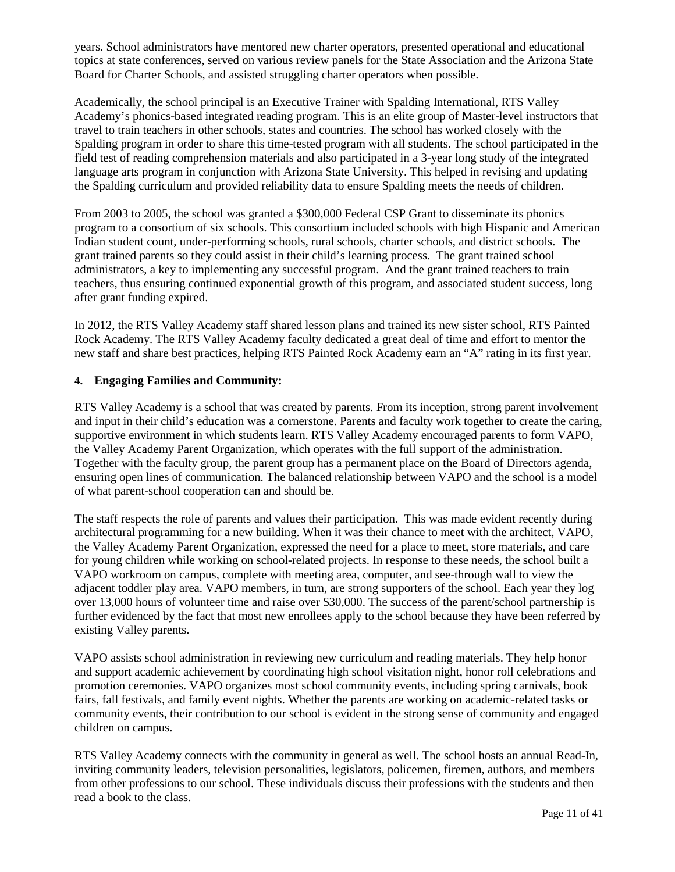years. School administrators have mentored new charter operators, presented operational and educational topics at state conferences, served on various review panels for the State Association and the Arizona State Board for Charter Schools, and assisted struggling charter operators when possible.

Academically, the school principal is an Executive Trainer with Spalding International, RTS Valley Academy's phonics-based integrated reading program. This is an elite group of Master-level instructors that travel to train teachers in other schools, states and countries. The school has worked closely with the Spalding program in order to share this time-tested program with all students. The school participated in the field test of reading comprehension materials and also participated in a 3-year long study of the integrated language arts program in conjunction with Arizona State University. This helped in revising and updating the Spalding curriculum and provided reliability data to ensure Spalding meets the needs of children.

From 2003 to 2005, the school was granted a \$300,000 Federal CSP Grant to disseminate its phonics program to a consortium of six schools. This consortium included schools with high Hispanic and American Indian student count, under-performing schools, rural schools, charter schools, and district schools. The grant trained parents so they could assist in their child's learning process. The grant trained school administrators, a key to implementing any successful program. And the grant trained teachers to train teachers, thus ensuring continued exponential growth of this program, and associated student success, long after grant funding expired.

In 2012, the RTS Valley Academy staff shared lesson plans and trained its new sister school, RTS Painted Rock Academy. The RTS Valley Academy faculty dedicated a great deal of time and effort to mentor the new staff and share best practices, helping RTS Painted Rock Academy earn an "A" rating in its first year.

#### **4. Engaging Families and Community:**

RTS Valley Academy is a school that was created by parents. From its inception, strong parent involvement and input in their child's education was a cornerstone. Parents and faculty work together to create the caring, supportive environment in which students learn. RTS Valley Academy encouraged parents to form VAPO, the Valley Academy Parent Organization, which operates with the full support of the administration. Together with the faculty group, the parent group has a permanent place on the Board of Directors agenda, ensuring open lines of communication. The balanced relationship between VAPO and the school is a model of what parent-school cooperation can and should be.

The staff respects the role of parents and values their participation. This was made evident recently during architectural programming for a new building. When it was their chance to meet with the architect, VAPO, the Valley Academy Parent Organization, expressed the need for a place to meet, store materials, and care for young children while working on school-related projects. In response to these needs, the school built a VAPO workroom on campus, complete with meeting area, computer, and see-through wall to view the adjacent toddler play area. VAPO members, in turn, are strong supporters of the school. Each year they log over 13,000 hours of volunteer time and raise over \$30,000. The success of the parent/school partnership is further evidenced by the fact that most new enrollees apply to the school because they have been referred by existing Valley parents.

VAPO assists school administration in reviewing new curriculum and reading materials. They help honor and support academic achievement by coordinating high school visitation night, honor roll celebrations and promotion ceremonies. VAPO organizes most school community events, including spring carnivals, book fairs, fall festivals, and family event nights. Whether the parents are working on academic-related tasks or community events, their contribution to our school is evident in the strong sense of community and engaged children on campus.

RTS Valley Academy connects with the community in general as well. The school hosts an annual Read-In, inviting community leaders, television personalities, legislators, policemen, firemen, authors, and members from other professions to our school. These individuals discuss their professions with the students and then read a book to the class.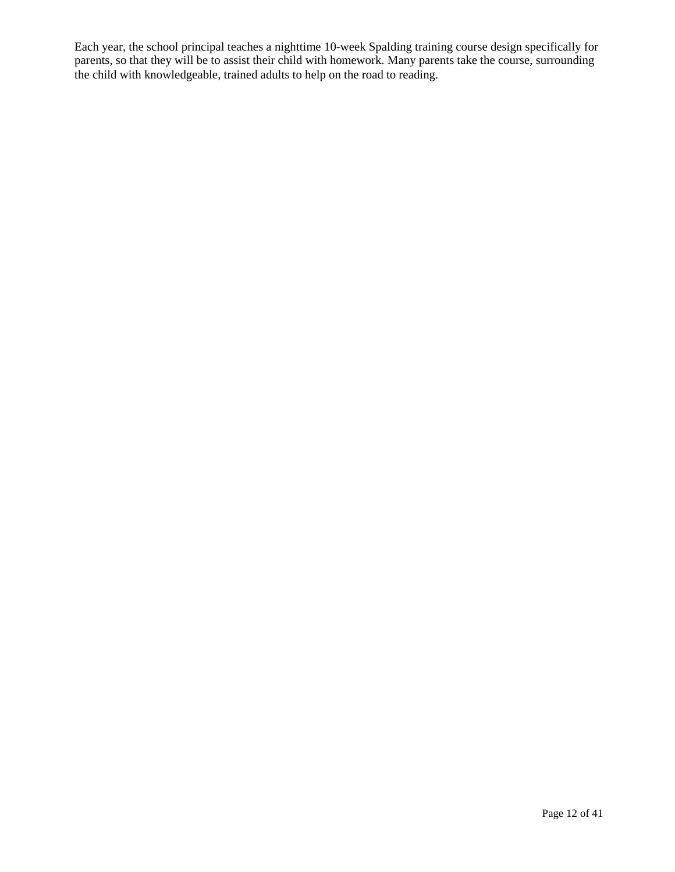Each year, the school principal teaches a nighttime 10-week Spalding training course design specifically for parents, so that they will be to assist their child with homework. Many parents take the course, surrounding the child with knowledgeable, trained adults to help on the road to reading.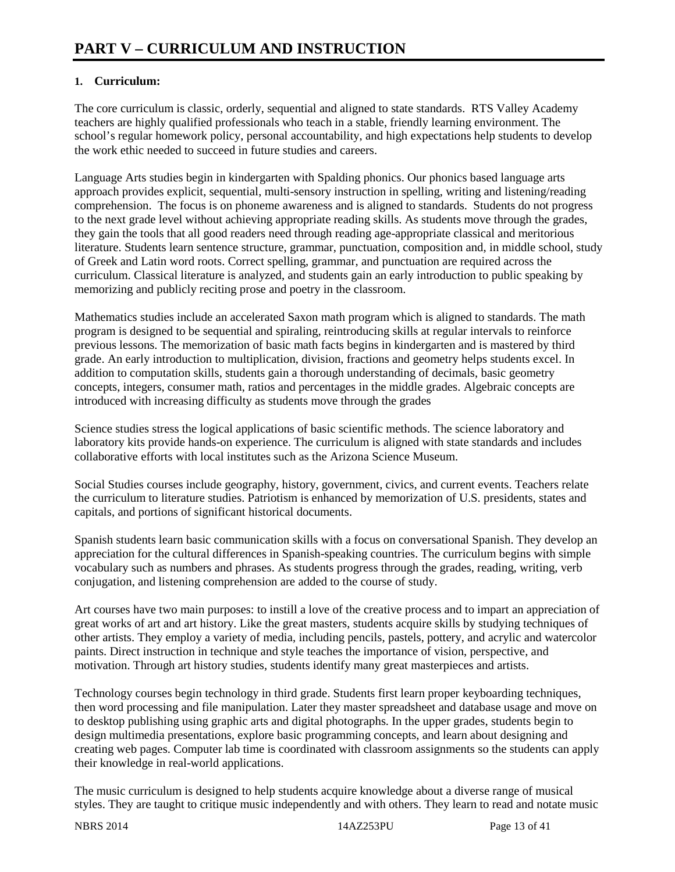### **1. Curriculum:**

The core curriculum is classic, orderly, sequential and aligned to state standards. RTS Valley Academy teachers are highly qualified professionals who teach in a stable, friendly learning environment. The school's regular homework policy, personal accountability, and high expectations help students to develop the work ethic needed to succeed in future studies and careers.

Language Arts studies begin in kindergarten with Spalding phonics. Our phonics based language arts approach provides explicit, sequential, multi-sensory instruction in spelling, writing and listening/reading comprehension. The focus is on phoneme awareness and is aligned to standards. Students do not progress to the next grade level without achieving appropriate reading skills. As students move through the grades, they gain the tools that all good readers need through reading age-appropriate classical and meritorious literature. Students learn sentence structure, grammar, punctuation, composition and, in middle school, study of Greek and Latin word roots. Correct spelling, grammar, and punctuation are required across the curriculum. Classical literature is analyzed, and students gain an early introduction to public speaking by memorizing and publicly reciting prose and poetry in the classroom.

Mathematics studies include an accelerated Saxon math program which is aligned to standards. The math program is designed to be sequential and spiraling, reintroducing skills at regular intervals to reinforce previous lessons. The memorization of basic math facts begins in kindergarten and is mastered by third grade. An early introduction to multiplication, division, fractions and geometry helps students excel. In addition to computation skills, students gain a thorough understanding of decimals, basic geometry concepts, integers, consumer math, ratios and percentages in the middle grades. Algebraic concepts are introduced with increasing difficulty as students move through the grades

Science studies stress the logical applications of basic scientific methods. The science laboratory and laboratory kits provide hands-on experience. The curriculum is aligned with state standards and includes collaborative efforts with local institutes such as the Arizona Science Museum.

Social Studies courses include geography, history, government, civics, and current events. Teachers relate the curriculum to literature studies. Patriotism is enhanced by memorization of U.S. presidents, states and capitals, and portions of significant historical documents.

Spanish students learn basic communication skills with a focus on conversational Spanish. They develop an appreciation for the cultural differences in Spanish-speaking countries. The curriculum begins with simple vocabulary such as numbers and phrases. As students progress through the grades, reading, writing, verb conjugation, and listening comprehension are added to the course of study.

Art courses have two main purposes: to instill a love of the creative process and to impart an appreciation of great works of art and art history. Like the great masters, students acquire skills by studying techniques of other artists. They employ a variety of media, including pencils, pastels, pottery, and acrylic and watercolor paints. Direct instruction in technique and style teaches the importance of vision, perspective, and motivation. Through art history studies, students identify many great masterpieces and artists.

Technology courses begin technology in third grade. Students first learn proper keyboarding techniques, then word processing and file manipulation. Later they master spreadsheet and database usage and move on to desktop publishing using graphic arts and digital photographs. In the upper grades, students begin to design multimedia presentations, explore basic programming concepts, and learn about designing and creating web pages. Computer lab time is coordinated with classroom assignments so the students can apply their knowledge in real-world applications.

The music curriculum is designed to help students acquire knowledge about a diverse range of musical styles. They are taught to critique music independently and with others. They learn to read and notate music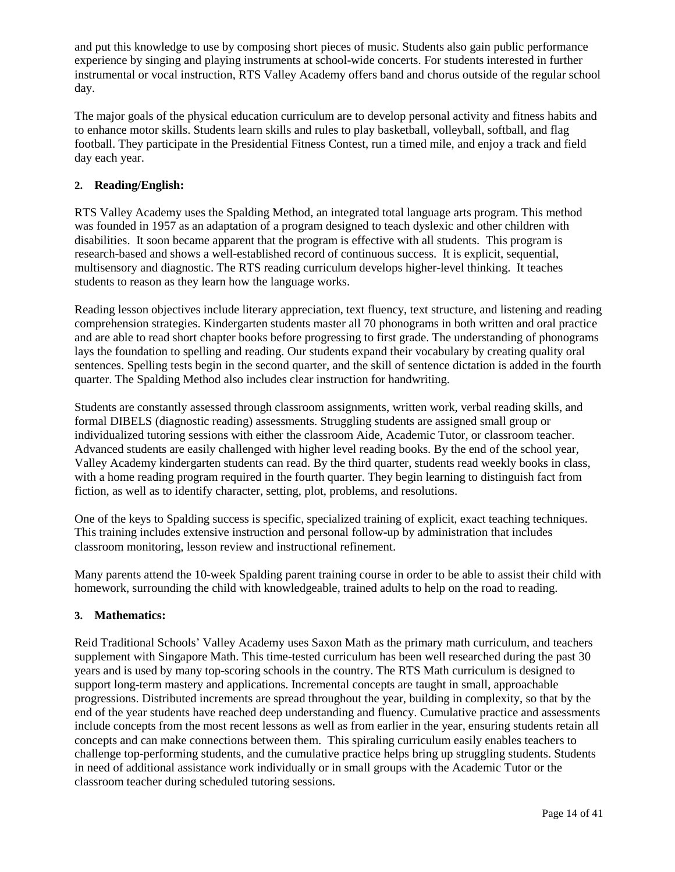and put this knowledge to use by composing short pieces of music. Students also gain public performance experience by singing and playing instruments at school-wide concerts. For students interested in further instrumental or vocal instruction, RTS Valley Academy offers band and chorus outside of the regular school day.

The major goals of the physical education curriculum are to develop personal activity and fitness habits and to enhance motor skills. Students learn skills and rules to play basketball, volleyball, softball, and flag football. They participate in the Presidential Fitness Contest, run a timed mile, and enjoy a track and field day each year.

### **2. Reading/English:**

RTS Valley Academy uses the Spalding Method, an integrated total language arts program. This method was founded in 1957 as an adaptation of a program designed to teach dyslexic and other children with disabilities. It soon became apparent that the program is effective with all students. This program is research-based and shows a well-established record of continuous success. It is explicit, sequential, multisensory and diagnostic. The RTS reading curriculum develops higher-level thinking. It teaches students to reason as they learn how the language works.

Reading lesson objectives include literary appreciation, text fluency, text structure, and listening and reading comprehension strategies. Kindergarten students master all 70 phonograms in both written and oral practice and are able to read short chapter books before progressing to first grade. The understanding of phonograms lays the foundation to spelling and reading. Our students expand their vocabulary by creating quality oral sentences. Spelling tests begin in the second quarter, and the skill of sentence dictation is added in the fourth quarter. The Spalding Method also includes clear instruction for handwriting.

Students are constantly assessed through classroom assignments, written work, verbal reading skills, and formal DIBELS (diagnostic reading) assessments. Struggling students are assigned small group or individualized tutoring sessions with either the classroom Aide, Academic Tutor, or classroom teacher. Advanced students are easily challenged with higher level reading books. By the end of the school year, Valley Academy kindergarten students can read. By the third quarter, students read weekly books in class, with a home reading program required in the fourth quarter. They begin learning to distinguish fact from fiction, as well as to identify character, setting, plot, problems, and resolutions.

One of the keys to Spalding success is specific, specialized training of explicit, exact teaching techniques. This training includes extensive instruction and personal follow-up by administration that includes classroom monitoring, lesson review and instructional refinement.

Many parents attend the 10-week Spalding parent training course in order to be able to assist their child with homework, surrounding the child with knowledgeable, trained adults to help on the road to reading.

#### **3. Mathematics:**

Reid Traditional Schools' Valley Academy uses Saxon Math as the primary math curriculum, and teachers supplement with Singapore Math. This time-tested curriculum has been well researched during the past 30 years and is used by many top-scoring schools in the country. The RTS Math curriculum is designed to support long-term mastery and applications. Incremental concepts are taught in small, approachable progressions. Distributed increments are spread throughout the year, building in complexity, so that by the end of the year students have reached deep understanding and fluency. Cumulative practice and assessments include concepts from the most recent lessons as well as from earlier in the year, ensuring students retain all concepts and can make connections between them. This spiraling curriculum easily enables teachers to challenge top-performing students, and the cumulative practice helps bring up struggling students. Students in need of additional assistance work individually or in small groups with the Academic Tutor or the classroom teacher during scheduled tutoring sessions.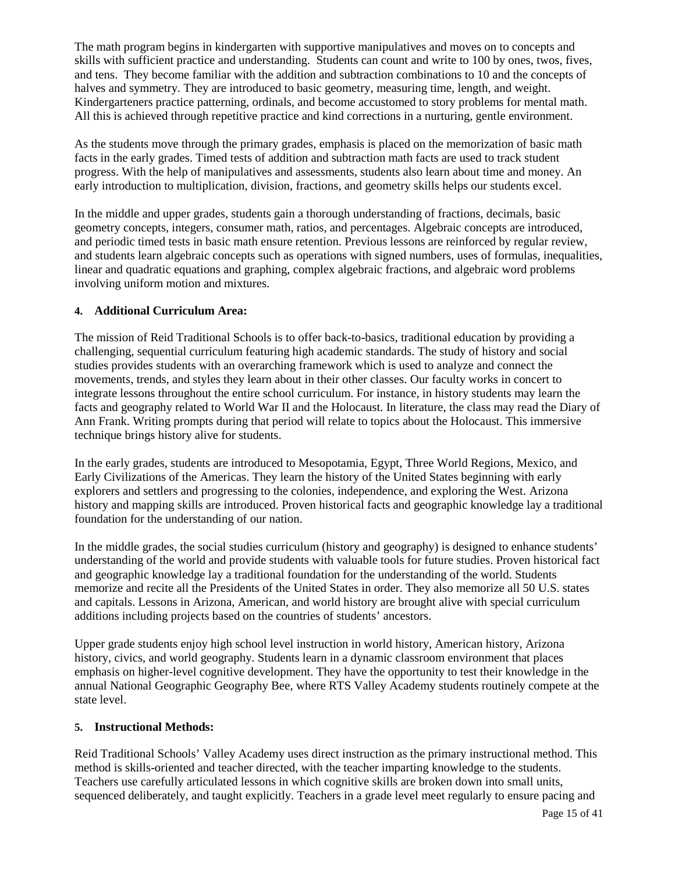The math program begins in kindergarten with supportive manipulatives and moves on to concepts and skills with sufficient practice and understanding. Students can count and write to 100 by ones, twos, fives, and tens. They become familiar with the addition and subtraction combinations to 10 and the concepts of halves and symmetry. They are introduced to basic geometry, measuring time, length, and weight. Kindergarteners practice patterning, ordinals, and become accustomed to story problems for mental math. All this is achieved through repetitive practice and kind corrections in a nurturing, gentle environment.

As the students move through the primary grades, emphasis is placed on the memorization of basic math facts in the early grades. Timed tests of addition and subtraction math facts are used to track student progress. With the help of manipulatives and assessments, students also learn about time and money. An early introduction to multiplication, division, fractions, and geometry skills helps our students excel.

In the middle and upper grades, students gain a thorough understanding of fractions, decimals, basic geometry concepts, integers, consumer math, ratios, and percentages. Algebraic concepts are introduced, and periodic timed tests in basic math ensure retention. Previous lessons are reinforced by regular review, and students learn algebraic concepts such as operations with signed numbers, uses of formulas, inequalities, linear and quadratic equations and graphing, complex algebraic fractions, and algebraic word problems involving uniform motion and mixtures.

#### **4. Additional Curriculum Area:**

The mission of Reid Traditional Schools is to offer back-to-basics, traditional education by providing a challenging, sequential curriculum featuring high academic standards. The study of history and social studies provides students with an overarching framework which is used to analyze and connect the movements, trends, and styles they learn about in their other classes. Our faculty works in concert to integrate lessons throughout the entire school curriculum. For instance, in history students may learn the facts and geography related to World War II and the Holocaust. In literature, the class may read the Diary of Ann Frank. Writing prompts during that period will relate to topics about the Holocaust. This immersive technique brings history alive for students.

In the early grades, students are introduced to Mesopotamia, Egypt, Three World Regions, Mexico, and Early Civilizations of the Americas. They learn the history of the United States beginning with early explorers and settlers and progressing to the colonies, independence, and exploring the West. Arizona history and mapping skills are introduced. Proven historical facts and geographic knowledge lay a traditional foundation for the understanding of our nation.

In the middle grades, the social studies curriculum (history and geography) is designed to enhance students' understanding of the world and provide students with valuable tools for future studies. Proven historical fact and geographic knowledge lay a traditional foundation for the understanding of the world. Students memorize and recite all the Presidents of the United States in order. They also memorize all 50 U.S. states and capitals. Lessons in Arizona, American, and world history are brought alive with special curriculum additions including projects based on the countries of students' ancestors.

Upper grade students enjoy high school level instruction in world history, American history, Arizona history, civics, and world geography. Students learn in a dynamic classroom environment that places emphasis on higher-level cognitive development. They have the opportunity to test their knowledge in the annual National Geographic Geography Bee, where RTS Valley Academy students routinely compete at the state level.

#### **5. Instructional Methods:**

Reid Traditional Schools' Valley Academy uses direct instruction as the primary instructional method. This method is skills-oriented and teacher directed, with the teacher imparting knowledge to the students. Teachers use carefully articulated lessons in which cognitive skills are broken down into small units, sequenced deliberately, and taught explicitly. Teachers in a grade level meet regularly to ensure pacing and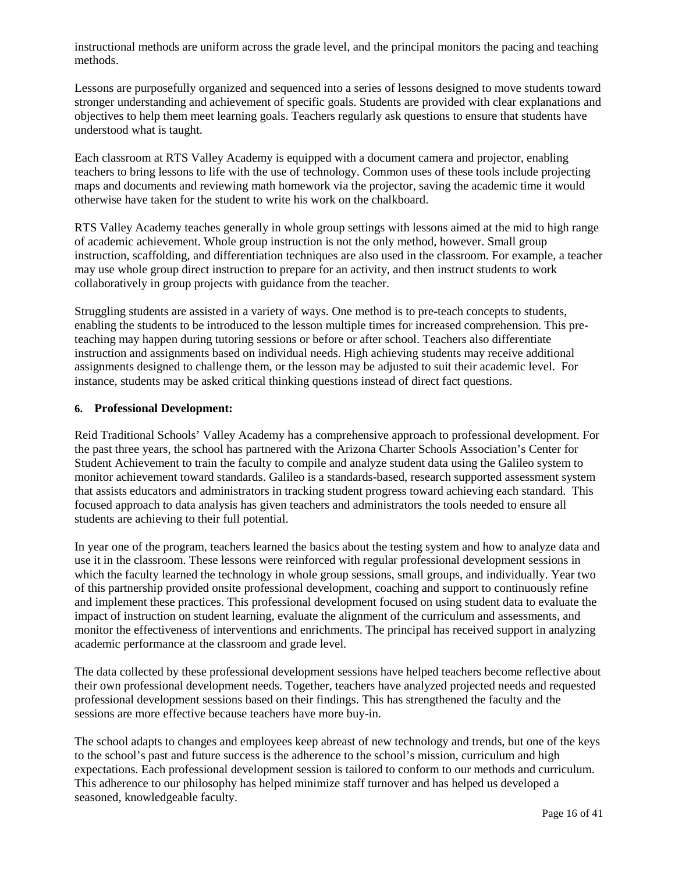instructional methods are uniform across the grade level, and the principal monitors the pacing and teaching methods.

Lessons are purposefully organized and sequenced into a series of lessons designed to move students toward stronger understanding and achievement of specific goals. Students are provided with clear explanations and objectives to help them meet learning goals. Teachers regularly ask questions to ensure that students have understood what is taught.

Each classroom at RTS Valley Academy is equipped with a document camera and projector, enabling teachers to bring lessons to life with the use of technology. Common uses of these tools include projecting maps and documents and reviewing math homework via the projector, saving the academic time it would otherwise have taken for the student to write his work on the chalkboard.

RTS Valley Academy teaches generally in whole group settings with lessons aimed at the mid to high range of academic achievement. Whole group instruction is not the only method, however. Small group instruction, scaffolding, and differentiation techniques are also used in the classroom. For example, a teacher may use whole group direct instruction to prepare for an activity, and then instruct students to work collaboratively in group projects with guidance from the teacher.

Struggling students are assisted in a variety of ways. One method is to pre-teach concepts to students, enabling the students to be introduced to the lesson multiple times for increased comprehension. This preteaching may happen during tutoring sessions or before or after school. Teachers also differentiate instruction and assignments based on individual needs. High achieving students may receive additional assignments designed to challenge them, or the lesson may be adjusted to suit their academic level. For instance, students may be asked critical thinking questions instead of direct fact questions.

#### **6. Professional Development:**

Reid Traditional Schools' Valley Academy has a comprehensive approach to professional development. For the past three years, the school has partnered with the Arizona Charter Schools Association's Center for Student Achievement to train the faculty to compile and analyze student data using the Galileo system to monitor achievement toward standards. Galileo is a standards-based, research supported assessment system that assists educators and administrators in tracking student progress toward achieving each standard. This focused approach to data analysis has given teachers and administrators the tools needed to ensure all students are achieving to their full potential.

In year one of the program, teachers learned the basics about the testing system and how to analyze data and use it in the classroom. These lessons were reinforced with regular professional development sessions in which the faculty learned the technology in whole group sessions, small groups, and individually. Year two of this partnership provided onsite professional development, coaching and support to continuously refine and implement these practices. This professional development focused on using student data to evaluate the impact of instruction on student learning, evaluate the alignment of the curriculum and assessments, and monitor the effectiveness of interventions and enrichments. The principal has received support in analyzing academic performance at the classroom and grade level.

The data collected by these professional development sessions have helped teachers become reflective about their own professional development needs. Together, teachers have analyzed projected needs and requested professional development sessions based on their findings. This has strengthened the faculty and the sessions are more effective because teachers have more buy-in.

The school adapts to changes and employees keep abreast of new technology and trends, but one of the keys to the school's past and future success is the adherence to the school's mission, curriculum and high expectations. Each professional development session is tailored to conform to our methods and curriculum. This adherence to our philosophy has helped minimize staff turnover and has helped us developed a seasoned, knowledgeable faculty.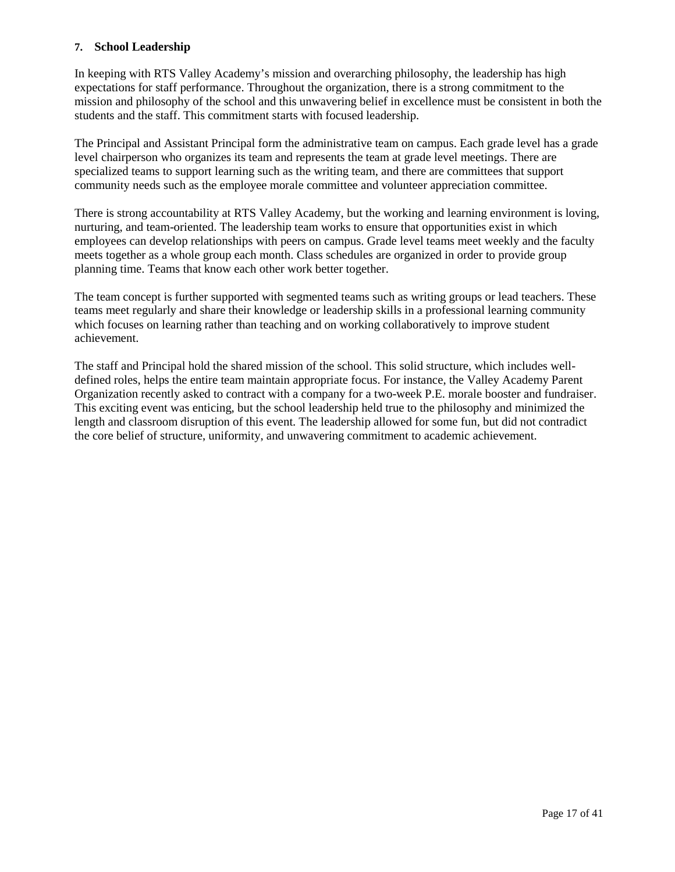#### **7. School Leadership**

In keeping with RTS Valley Academy's mission and overarching philosophy, the leadership has high expectations for staff performance. Throughout the organization, there is a strong commitment to the mission and philosophy of the school and this unwavering belief in excellence must be consistent in both the students and the staff. This commitment starts with focused leadership.

The Principal and Assistant Principal form the administrative team on campus. Each grade level has a grade level chairperson who organizes its team and represents the team at grade level meetings. There are specialized teams to support learning such as the writing team, and there are committees that support community needs such as the employee morale committee and volunteer appreciation committee.

There is strong accountability at RTS Valley Academy, but the working and learning environment is loving, nurturing, and team-oriented. The leadership team works to ensure that opportunities exist in which employees can develop relationships with peers on campus. Grade level teams meet weekly and the faculty meets together as a whole group each month. Class schedules are organized in order to provide group planning time. Teams that know each other work better together.

The team concept is further supported with segmented teams such as writing groups or lead teachers. These teams meet regularly and share their knowledge or leadership skills in a professional learning community which focuses on learning rather than teaching and on working collaboratively to improve student achievement.

The staff and Principal hold the shared mission of the school. This solid structure, which includes welldefined roles, helps the entire team maintain appropriate focus. For instance, the Valley Academy Parent Organization recently asked to contract with a company for a two-week P.E. morale booster and fundraiser. This exciting event was enticing, but the school leadership held true to the philosophy and minimized the length and classroom disruption of this event. The leadership allowed for some fun, but did not contradict the core belief of structure, uniformity, and unwavering commitment to academic achievement.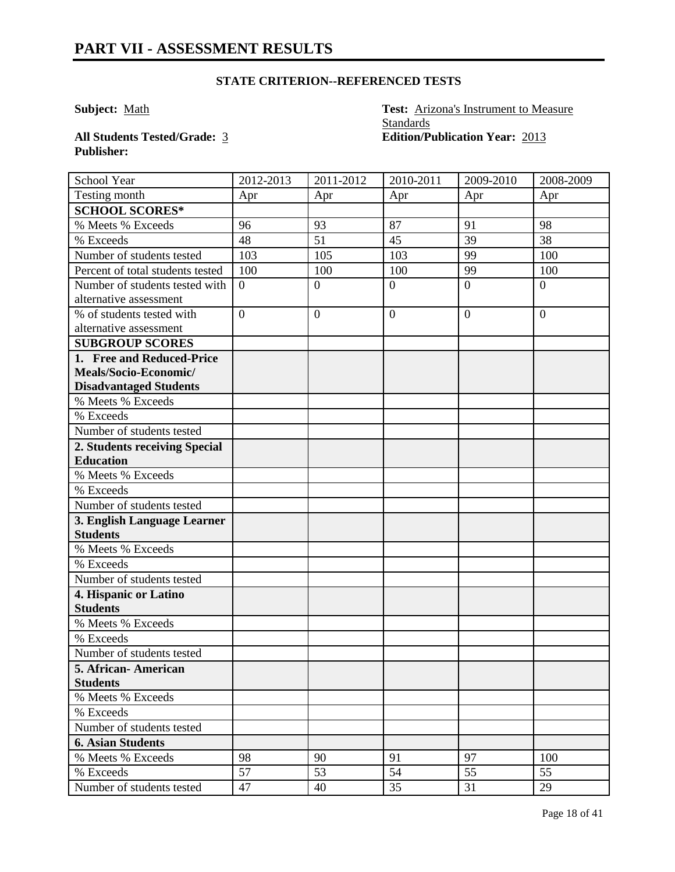**Subject:** Math **Test:** Arizona's Instrument to Measure **Standards All Students Tested/Grade:** 3 **Edition/Publication Year:** 2013

**Publisher:** 

| School Year                      | 2012-2013      | 2011-2012        | 2010-2011      | 2009-2010      | 2008-2009    |
|----------------------------------|----------------|------------------|----------------|----------------|--------------|
| Testing month                    | Apr            | Apr              | Apr            | Apr            | Apr          |
| <b>SCHOOL SCORES*</b>            |                |                  |                |                |              |
| % Meets % Exceeds                | 96             | 93               | 87             | 91             | 98           |
| % Exceeds                        | 48             | 51               | 45             | 39             | 38           |
| Number of students tested        | 103            | 105              | 103            | 99             | 100          |
| Percent of total students tested | 100            | 100              | 100            | 99             | 100          |
| Number of students tested with   | $\overline{0}$ | $\boldsymbol{0}$ | $\overline{0}$ | $\overline{0}$ | $\mathbf{0}$ |
| alternative assessment           |                |                  |                |                |              |
| % of students tested with        | $\theta$       | $\overline{0}$   | $\overline{0}$ | $\overline{0}$ | $\mathbf{0}$ |
| alternative assessment           |                |                  |                |                |              |
| <b>SUBGROUP SCORES</b>           |                |                  |                |                |              |
| 1. Free and Reduced-Price        |                |                  |                |                |              |
| Meals/Socio-Economic/            |                |                  |                |                |              |
| <b>Disadvantaged Students</b>    |                |                  |                |                |              |
| % Meets % Exceeds                |                |                  |                |                |              |
| % Exceeds                        |                |                  |                |                |              |
| Number of students tested        |                |                  |                |                |              |
| 2. Students receiving Special    |                |                  |                |                |              |
| <b>Education</b>                 |                |                  |                |                |              |
| % Meets % Exceeds                |                |                  |                |                |              |
| % Exceeds                        |                |                  |                |                |              |
| Number of students tested        |                |                  |                |                |              |
| 3. English Language Learner      |                |                  |                |                |              |
| <b>Students</b>                  |                |                  |                |                |              |
| % Meets % Exceeds                |                |                  |                |                |              |
| % Exceeds                        |                |                  |                |                |              |
| Number of students tested        |                |                  |                |                |              |
| 4. Hispanic or Latino            |                |                  |                |                |              |
| <b>Students</b>                  |                |                  |                |                |              |
| % Meets % Exceeds                |                |                  |                |                |              |
| % Exceeds                        |                |                  |                |                |              |
| Number of students tested        |                |                  |                |                |              |
| 5. African-American              |                |                  |                |                |              |
| <b>Students</b>                  |                |                  |                |                |              |
| % Meets % Exceeds                |                |                  |                |                |              |
| % Exceeds                        |                |                  |                |                |              |
| Number of students tested        |                |                  |                |                |              |
| <b>6. Asian Students</b>         |                |                  |                |                |              |
| % Meets % Exceeds                | 98             | 90               | 91             | 97             | 100          |
| % Exceeds                        | 57             | 53               | 54             | 55             | 55           |
| Number of students tested        | 47             | 40               | 35             | 31             | 29           |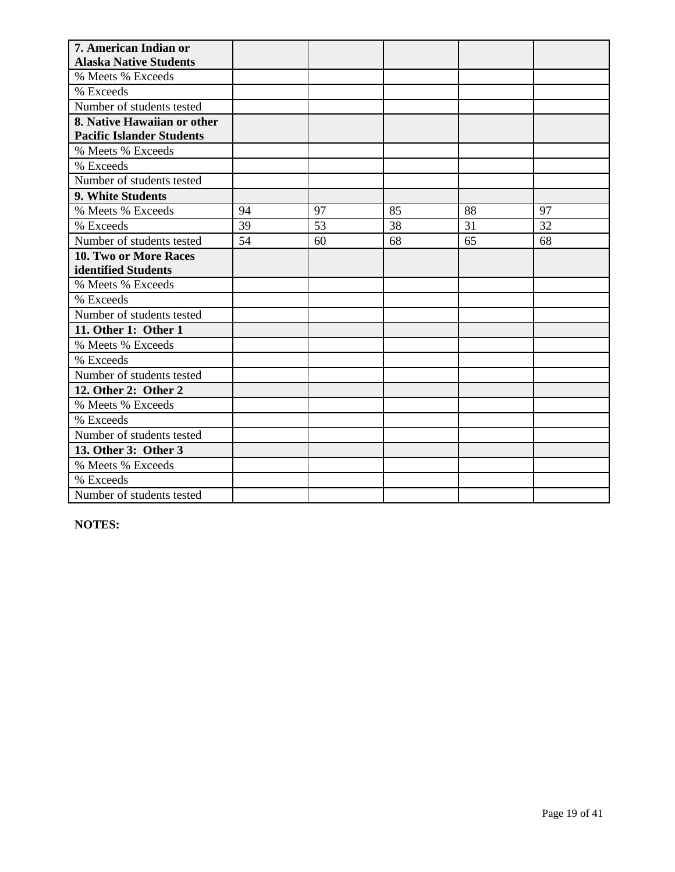| 7. American Indian or                                           |    |    |    |    |    |
|-----------------------------------------------------------------|----|----|----|----|----|
| <b>Alaska Native Students</b>                                   |    |    |    |    |    |
| % Meets % Exceeds                                               |    |    |    |    |    |
| % Exceeds                                                       |    |    |    |    |    |
| Number of students tested                                       |    |    |    |    |    |
| 8. Native Hawaiian or other<br><b>Pacific Islander Students</b> |    |    |    |    |    |
| % Meets % Exceeds                                               |    |    |    |    |    |
| % Exceeds                                                       |    |    |    |    |    |
| Number of students tested                                       |    |    |    |    |    |
| 9. White Students                                               |    |    |    |    |    |
| % Meets % Exceeds                                               | 94 | 97 | 85 | 88 | 97 |
| % Exceeds                                                       | 39 | 53 | 38 | 31 | 32 |
| Number of students tested                                       | 54 | 60 | 68 | 65 | 68 |
| 10. Two or More Races                                           |    |    |    |    |    |
| identified Students                                             |    |    |    |    |    |
| % Meets % Exceeds                                               |    |    |    |    |    |
| % Exceeds                                                       |    |    |    |    |    |
| Number of students tested                                       |    |    |    |    |    |
| 11. Other 1: Other 1                                            |    |    |    |    |    |
| % Meets % Exceeds                                               |    |    |    |    |    |
| % Exceeds                                                       |    |    |    |    |    |
| Number of students tested                                       |    |    |    |    |    |
| 12. Other 2: Other 2                                            |    |    |    |    |    |
| % Meets % Exceeds                                               |    |    |    |    |    |
| % Exceeds                                                       |    |    |    |    |    |
| Number of students tested                                       |    |    |    |    |    |
| 13. Other 3: Other 3                                            |    |    |    |    |    |
| % Meets % Exceeds                                               |    |    |    |    |    |
| % Exceeds                                                       |    |    |    |    |    |
| Number of students tested                                       |    |    |    |    |    |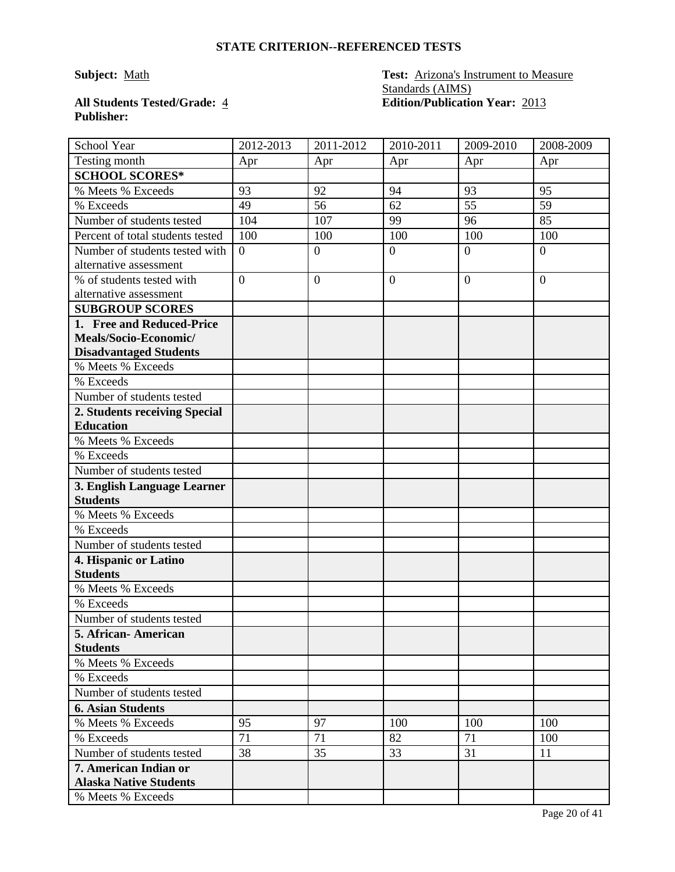# **Publisher:**

### **Subject:** Math **Test:** Arizona's Instrument to Measure Standards (AIMS) **All Students Tested/Grade:** 4 **Edition/Publication Year:** 2013

| School Year                      | 2012-2013      | 2011-2012        | 2010-2011      | 2009-2010      | 2008-2009        |
|----------------------------------|----------------|------------------|----------------|----------------|------------------|
| Testing month                    | Apr            | Apr              | Apr            | Apr            | Apr              |
| <b>SCHOOL SCORES*</b>            |                |                  |                |                |                  |
| % Meets % Exceeds                | 93             | 92               | 94             | 93             | 95               |
| % Exceeds                        | 49             | 56               | 62             | 55             | 59               |
| Number of students tested        | 104            | 107              | 99             | 96             | 85               |
| Percent of total students tested | 100            | 100              | 100            | 100            | 100              |
| Number of students tested with   | $\overline{0}$ | $\boldsymbol{0}$ | $\overline{0}$ | $\overline{0}$ | $\boldsymbol{0}$ |
| alternative assessment           |                |                  |                |                |                  |
| % of students tested with        | $\overline{0}$ | $\overline{0}$   | $\overline{0}$ | $\overline{0}$ | $\overline{0}$   |
| alternative assessment           |                |                  |                |                |                  |
| <b>SUBGROUP SCORES</b>           |                |                  |                |                |                  |
| 1. Free and Reduced-Price        |                |                  |                |                |                  |
| Meals/Socio-Economic/            |                |                  |                |                |                  |
| <b>Disadvantaged Students</b>    |                |                  |                |                |                  |
| % Meets % Exceeds                |                |                  |                |                |                  |
| % Exceeds                        |                |                  |                |                |                  |
| Number of students tested        |                |                  |                |                |                  |
| 2. Students receiving Special    |                |                  |                |                |                  |
| <b>Education</b>                 |                |                  |                |                |                  |
| % Meets % Exceeds                |                |                  |                |                |                  |
| % Exceeds                        |                |                  |                |                |                  |
| Number of students tested        |                |                  |                |                |                  |
| 3. English Language Learner      |                |                  |                |                |                  |
| <b>Students</b>                  |                |                  |                |                |                  |
| % Meets % Exceeds                |                |                  |                |                |                  |
| % Exceeds                        |                |                  |                |                |                  |
| Number of students tested        |                |                  |                |                |                  |
| 4. Hispanic or Latino            |                |                  |                |                |                  |
| <b>Students</b>                  |                |                  |                |                |                  |
| % Meets % Exceeds                |                |                  |                |                |                  |
| % Exceeds                        |                |                  |                |                |                  |
| Number of students tested        |                |                  |                |                |                  |
| 5. African-American              |                |                  |                |                |                  |
| <b>Students</b>                  |                |                  |                |                |                  |
| % Meets % Exceeds                |                |                  |                |                |                  |
| % Exceeds                        |                |                  |                |                |                  |
| Number of students tested        |                |                  |                |                |                  |
| <b>6. Asian Students</b>         |                |                  |                |                |                  |
| % Meets % Exceeds                | 95             | 97               | 100            | 100            | 100              |
| % Exceeds                        | 71             | 71               | 82             | 71             | 100              |
| Number of students tested        | 38             | 35               | 33             | 31             | 11               |
| 7. American Indian or            |                |                  |                |                |                  |
| <b>Alaska Native Students</b>    |                |                  |                |                |                  |
| % Meets % Exceeds                |                |                  |                |                |                  |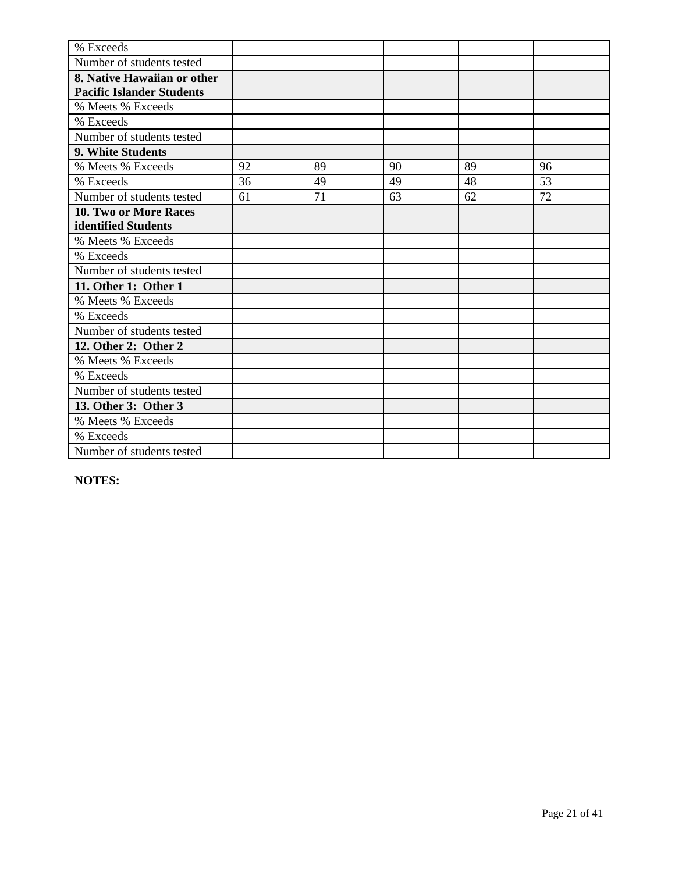| % Exceeds                        |    |    |    |    |    |
|----------------------------------|----|----|----|----|----|
| Number of students tested        |    |    |    |    |    |
| 8. Native Hawaiian or other      |    |    |    |    |    |
| <b>Pacific Islander Students</b> |    |    |    |    |    |
| % Meets % Exceeds                |    |    |    |    |    |
| % Exceeds                        |    |    |    |    |    |
| Number of students tested        |    |    |    |    |    |
| 9. White Students                |    |    |    |    |    |
| % Meets % Exceeds                | 92 | 89 | 90 | 89 | 96 |
| % Exceeds                        | 36 | 49 | 49 | 48 | 53 |
| Number of students tested        | 61 | 71 | 63 | 62 | 72 |
| <b>10. Two or More Races</b>     |    |    |    |    |    |
| identified Students              |    |    |    |    |    |
| % Meets % Exceeds                |    |    |    |    |    |
| % Exceeds                        |    |    |    |    |    |
| Number of students tested        |    |    |    |    |    |
| 11. Other 1: Other 1             |    |    |    |    |    |
| % Meets % Exceeds                |    |    |    |    |    |
| % Exceeds                        |    |    |    |    |    |
| Number of students tested        |    |    |    |    |    |
| 12. Other 2: Other 2             |    |    |    |    |    |
| % Meets % Exceeds                |    |    |    |    |    |
| % Exceeds                        |    |    |    |    |    |
| Number of students tested        |    |    |    |    |    |
| 13. Other 3: Other 3             |    |    |    |    |    |
| % Meets % Exceeds                |    |    |    |    |    |
| % Exceeds                        |    |    |    |    |    |
| Number of students tested        |    |    |    |    |    |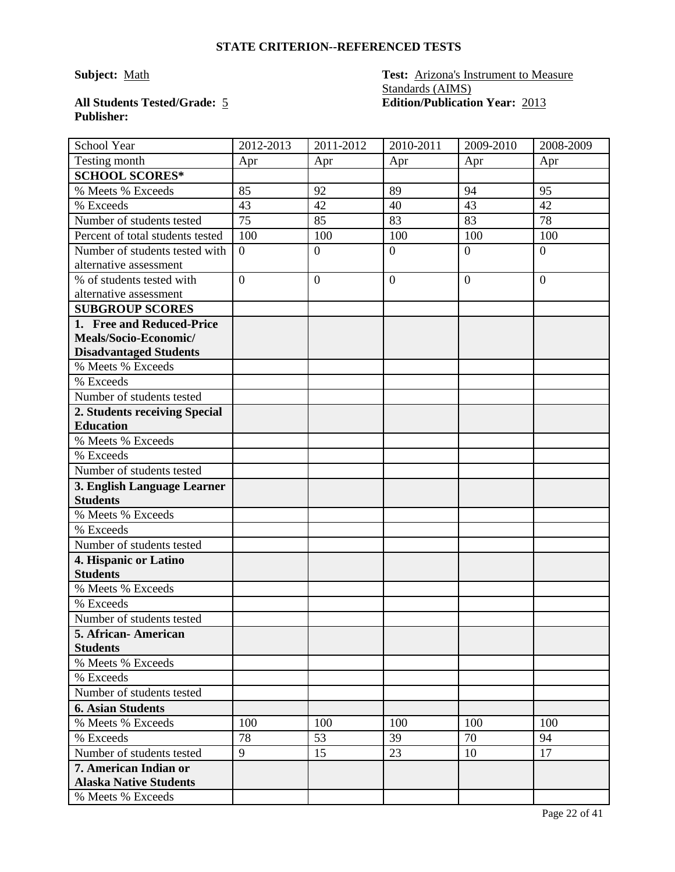# **Publisher:**

**Subject:** Math **Test:** Arizona's Instrument to Measure Standards (AIMS) **All Students Tested/Grade:** 5 **Edition/Publication Year:** 2013

| School Year                      | 2012-2013      | 2011-2012        | 2010-2011      | 2009-2010      | 2008-2009        |
|----------------------------------|----------------|------------------|----------------|----------------|------------------|
| Testing month                    | Apr            | Apr              | Apr            | Apr            | Apr              |
| <b>SCHOOL SCORES*</b>            |                |                  |                |                |                  |
| % Meets % Exceeds                | 85             | 92               | 89             | 94             | 95               |
| % Exceeds                        | 43             | 42               | 40             | 43             | 42               |
| Number of students tested        | 75             | 85               | 83             | 83             | 78               |
| Percent of total students tested | 100            | 100              | 100            | 100            | 100              |
| Number of students tested with   | $\overline{0}$ | $\boldsymbol{0}$ | $\overline{0}$ | $\overline{0}$ | $\boldsymbol{0}$ |
| alternative assessment           |                |                  |                |                |                  |
| % of students tested with        | $\overline{0}$ | $\overline{0}$   | $\overline{0}$ | $\overline{0}$ | $\overline{0}$   |
| alternative assessment           |                |                  |                |                |                  |
| <b>SUBGROUP SCORES</b>           |                |                  |                |                |                  |
| 1. Free and Reduced-Price        |                |                  |                |                |                  |
| Meals/Socio-Economic/            |                |                  |                |                |                  |
| <b>Disadvantaged Students</b>    |                |                  |                |                |                  |
| % Meets % Exceeds                |                |                  |                |                |                  |
| % Exceeds                        |                |                  |                |                |                  |
| Number of students tested        |                |                  |                |                |                  |
| 2. Students receiving Special    |                |                  |                |                |                  |
| <b>Education</b>                 |                |                  |                |                |                  |
| % Meets % Exceeds                |                |                  |                |                |                  |
| % Exceeds                        |                |                  |                |                |                  |
| Number of students tested        |                |                  |                |                |                  |
| 3. English Language Learner      |                |                  |                |                |                  |
| <b>Students</b>                  |                |                  |                |                |                  |
| % Meets % Exceeds                |                |                  |                |                |                  |
| % Exceeds                        |                |                  |                |                |                  |
| Number of students tested        |                |                  |                |                |                  |
| 4. Hispanic or Latino            |                |                  |                |                |                  |
| <b>Students</b>                  |                |                  |                |                |                  |
| % Meets % Exceeds                |                |                  |                |                |                  |
| % Exceeds                        |                |                  |                |                |                  |
| Number of students tested        |                |                  |                |                |                  |
| 5. African- American             |                |                  |                |                |                  |
| <b>Students</b>                  |                |                  |                |                |                  |
| % Meets % Exceeds                |                |                  |                |                |                  |
| % Exceeds                        |                |                  |                |                |                  |
| Number of students tested        |                |                  |                |                |                  |
| <b>6. Asian Students</b>         |                |                  |                |                |                  |
| % Meets % Exceeds                | 100            | 100              | 100            | 100            | 100              |
| % Exceeds                        | 78             | 53               | 39             | 70             | 94               |
| Number of students tested        | 9              | 15               | 23             | 10             | 17               |
| 7. American Indian or            |                |                  |                |                |                  |
| <b>Alaska Native Students</b>    |                |                  |                |                |                  |
| % Meets % Exceeds                |                |                  |                |                |                  |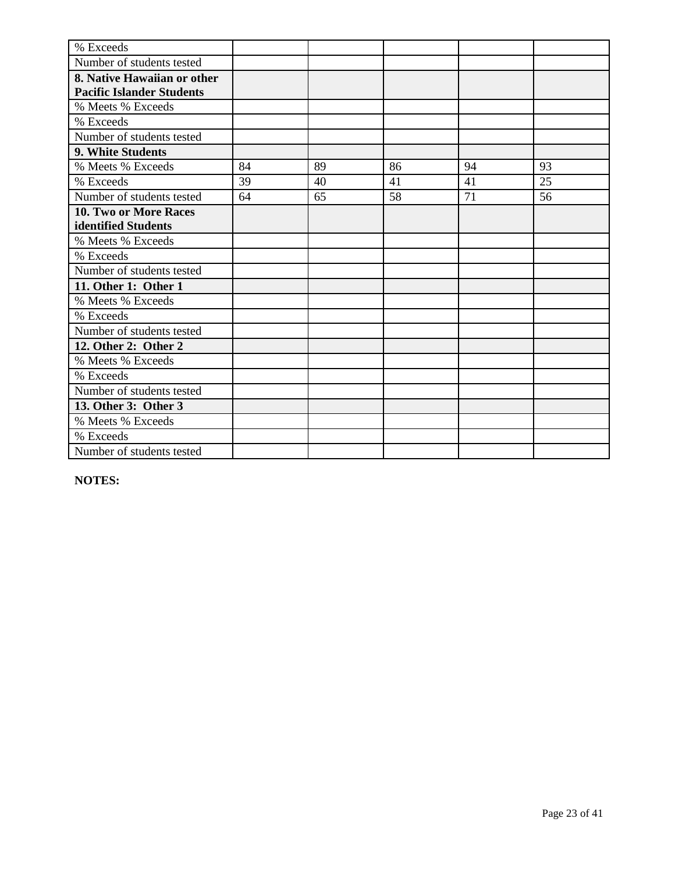| % Exceeds                        |    |    |    |    |    |
|----------------------------------|----|----|----|----|----|
| Number of students tested        |    |    |    |    |    |
| 8. Native Hawaiian or other      |    |    |    |    |    |
| <b>Pacific Islander Students</b> |    |    |    |    |    |
| % Meets % Exceeds                |    |    |    |    |    |
| % Exceeds                        |    |    |    |    |    |
| Number of students tested        |    |    |    |    |    |
| 9. White Students                |    |    |    |    |    |
| % Meets % Exceeds                | 84 | 89 | 86 | 94 | 93 |
| % Exceeds                        | 39 | 40 | 41 | 41 | 25 |
| Number of students tested        | 64 | 65 | 58 | 71 | 56 |
| <b>10. Two or More Races</b>     |    |    |    |    |    |
| identified Students              |    |    |    |    |    |
| % Meets % Exceeds                |    |    |    |    |    |
| % Exceeds                        |    |    |    |    |    |
| Number of students tested        |    |    |    |    |    |
| 11. Other 1: Other 1             |    |    |    |    |    |
| % Meets % Exceeds                |    |    |    |    |    |
| % Exceeds                        |    |    |    |    |    |
| Number of students tested        |    |    |    |    |    |
| 12. Other 2: Other 2             |    |    |    |    |    |
| % Meets % Exceeds                |    |    |    |    |    |
| % Exceeds                        |    |    |    |    |    |
| Number of students tested        |    |    |    |    |    |
| 13. Other 3: Other 3             |    |    |    |    |    |
| % Meets % Exceeds                |    |    |    |    |    |
| % Exceeds                        |    |    |    |    |    |
| Number of students tested        |    |    |    |    |    |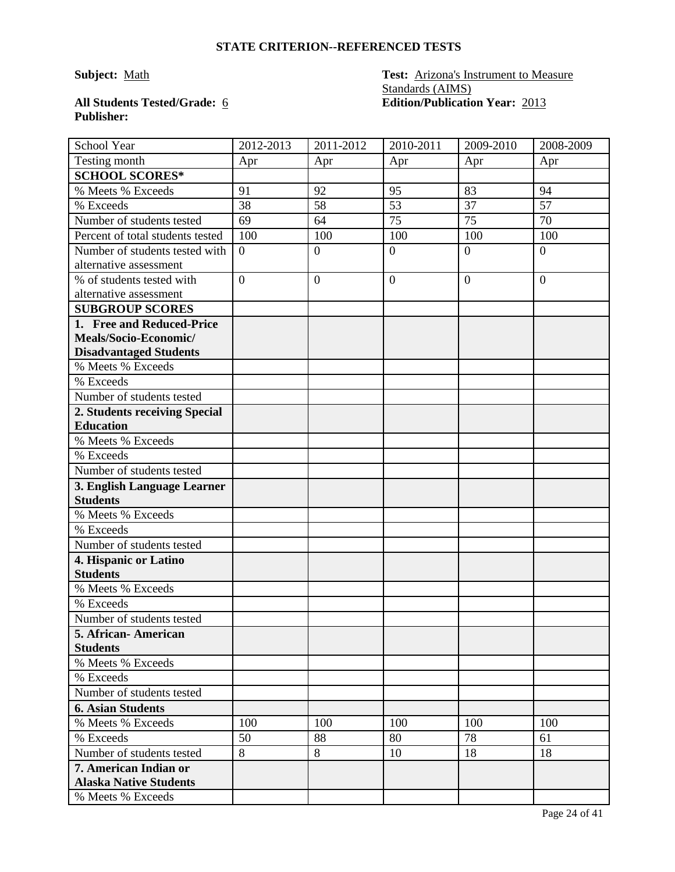# **Publisher:**

**Subject:** Math **Test:** Arizona's Instrument to Measure Standards (AIMS) **All Students Tested/Grade:** 6 **Edition/Publication Year:** 2013

| School Year                                            | 2012-2013        | 2011-2012        | 2010-2011      | 2009-2010      | 2008-2009        |
|--------------------------------------------------------|------------------|------------------|----------------|----------------|------------------|
| Testing month                                          | Apr              | Apr              | Apr            | Apr            | Apr              |
| <b>SCHOOL SCORES*</b>                                  |                  |                  |                |                |                  |
| % Meets % Exceeds                                      | 91               | 92               | 95             | 83             | 94               |
| % Exceeds                                              | 38               | 58               | 53             | 37             | 57               |
| Number of students tested                              | 69               | 64               | 75             | 75             | 70               |
| Percent of total students tested                       | 100              | 100              | 100            | 100            | 100              |
| Number of students tested with                         | $\boldsymbol{0}$ | $\boldsymbol{0}$ | $\overline{0}$ | $\overline{0}$ | $\boldsymbol{0}$ |
| alternative assessment                                 |                  |                  |                |                |                  |
| % of students tested with                              | $\overline{0}$   | $\overline{0}$   | $\overline{0}$ | $\overline{0}$ | $\overline{0}$   |
| alternative assessment                                 |                  |                  |                |                |                  |
| <b>SUBGROUP SCORES</b>                                 |                  |                  |                |                |                  |
| 1. Free and Reduced-Price                              |                  |                  |                |                |                  |
| Meals/Socio-Economic/                                  |                  |                  |                |                |                  |
| <b>Disadvantaged Students</b>                          |                  |                  |                |                |                  |
| % Meets % Exceeds                                      |                  |                  |                |                |                  |
| % Exceeds                                              |                  |                  |                |                |                  |
| Number of students tested                              |                  |                  |                |                |                  |
| 2. Students receiving Special                          |                  |                  |                |                |                  |
| <b>Education</b>                                       |                  |                  |                |                |                  |
| % Meets % Exceeds                                      |                  |                  |                |                |                  |
| % Exceeds                                              |                  |                  |                |                |                  |
| Number of students tested                              |                  |                  |                |                |                  |
| 3. English Language Learner                            |                  |                  |                |                |                  |
| <b>Students</b>                                        |                  |                  |                |                |                  |
| % Meets % Exceeds                                      |                  |                  |                |                |                  |
| % Exceeds                                              |                  |                  |                |                |                  |
| Number of students tested                              |                  |                  |                |                |                  |
| 4. Hispanic or Latino                                  |                  |                  |                |                |                  |
| <b>Students</b>                                        |                  |                  |                |                |                  |
| % Meets % Exceeds                                      |                  |                  |                |                |                  |
| % Exceeds                                              |                  |                  |                |                |                  |
| Number of students tested                              |                  |                  |                |                |                  |
| 5. African- American                                   |                  |                  |                |                |                  |
| <b>Students</b>                                        |                  |                  |                |                |                  |
| % Meets % Exceeds                                      |                  |                  |                |                |                  |
| % Exceeds                                              |                  |                  |                |                |                  |
| Number of students tested                              |                  |                  |                |                |                  |
| <b>6. Asian Students</b>                               |                  |                  |                |                |                  |
| % Meets % Exceeds                                      | 100              | 100              | 100            | 100            | 100              |
| % Exceeds                                              | 50               | 88               | 80             | 78             | 61               |
| Number of students tested                              | 8                | 8                | 10             | 18             | 18               |
| 7. American Indian or<br><b>Alaska Native Students</b> |                  |                  |                |                |                  |
| % Meets % Exceeds                                      |                  |                  |                |                |                  |
|                                                        |                  |                  |                |                |                  |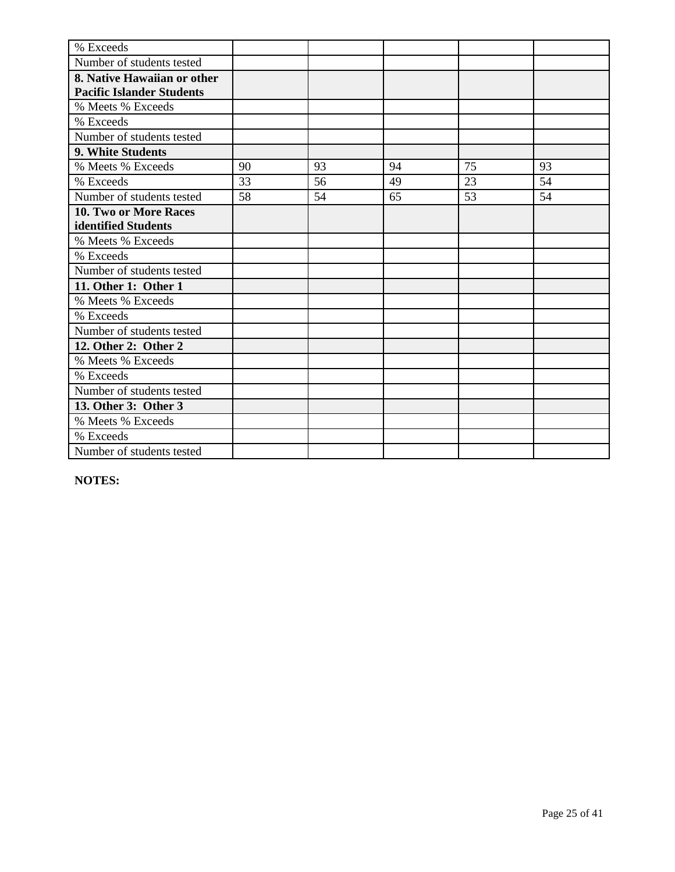| % Exceeds                        |    |    |    |    |    |
|----------------------------------|----|----|----|----|----|
| Number of students tested        |    |    |    |    |    |
| 8. Native Hawaiian or other      |    |    |    |    |    |
| <b>Pacific Islander Students</b> |    |    |    |    |    |
| % Meets % Exceeds                |    |    |    |    |    |
| % Exceeds                        |    |    |    |    |    |
| Number of students tested        |    |    |    |    |    |
| 9. White Students                |    |    |    |    |    |
| % Meets % Exceeds                | 90 | 93 | 94 | 75 | 93 |
| % Exceeds                        | 33 | 56 | 49 | 23 | 54 |
| Number of students tested        | 58 | 54 | 65 | 53 | 54 |
| 10. Two or More Races            |    |    |    |    |    |
| identified Students              |    |    |    |    |    |
| % Meets % Exceeds                |    |    |    |    |    |
| % Exceeds                        |    |    |    |    |    |
| Number of students tested        |    |    |    |    |    |
| 11. Other 1: Other 1             |    |    |    |    |    |
| % Meets % Exceeds                |    |    |    |    |    |
| % Exceeds                        |    |    |    |    |    |
| Number of students tested        |    |    |    |    |    |
| 12. Other 2: Other 2             |    |    |    |    |    |
| % Meets % Exceeds                |    |    |    |    |    |
| % Exceeds                        |    |    |    |    |    |
| Number of students tested        |    |    |    |    |    |
| 13. Other 3: Other 3             |    |    |    |    |    |
| % Meets % Exceeds                |    |    |    |    |    |
| % Exceeds                        |    |    |    |    |    |
| Number of students tested        |    |    |    |    |    |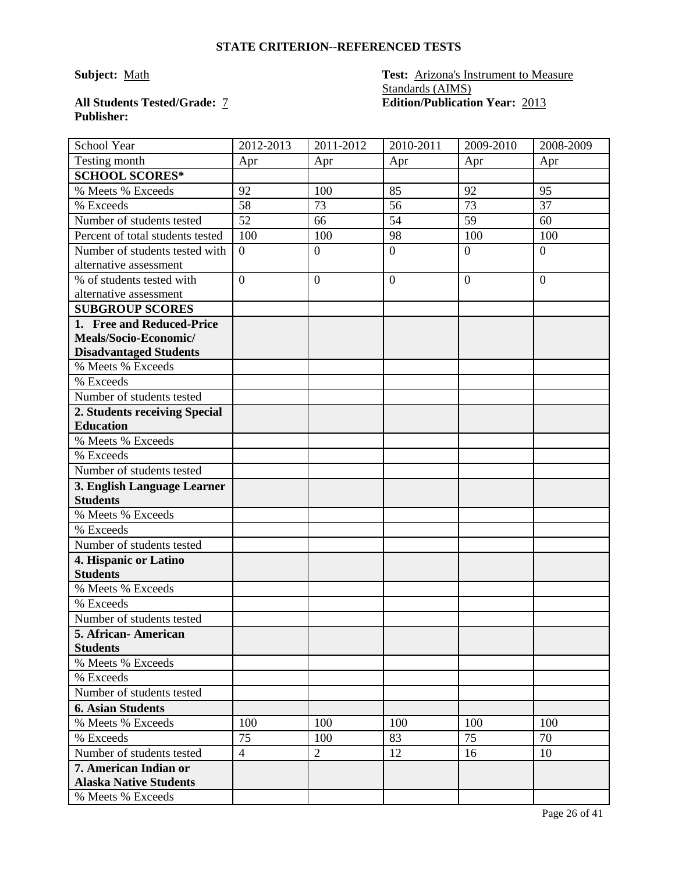# **Publisher:**

**Subject:** Math **Test:** Arizona's Instrument to Measure Standards (AIMS) **All Students Tested/Grade:** 7 **Edition/Publication Year:** 2013

| School Year                                            | 2012-2013        | 2011-2012        | 2010-2011      | 2009-2010      | 2008-2009        |
|--------------------------------------------------------|------------------|------------------|----------------|----------------|------------------|
| Testing month                                          | Apr              | Apr              | Apr            | Apr            | Apr              |
| <b>SCHOOL SCORES*</b>                                  |                  |                  |                |                |                  |
| % Meets % Exceeds                                      | 92               | 100              | 85             | 92             | 95               |
| % Exceeds                                              | 58               | 73               | 56             | 73             | 37               |
| Number of students tested                              | 52               | 66               | 54             | 59             | 60               |
| Percent of total students tested                       | 100              | 100              | 98             | 100            | 100              |
| Number of students tested with                         | $\boldsymbol{0}$ | $\boldsymbol{0}$ | $\overline{0}$ | $\overline{0}$ | $\boldsymbol{0}$ |
| alternative assessment                                 |                  |                  |                |                |                  |
| % of students tested with                              | $\overline{0}$   | $\overline{0}$   | $\overline{0}$ | $\overline{0}$ | $\overline{0}$   |
| alternative assessment                                 |                  |                  |                |                |                  |
| <b>SUBGROUP SCORES</b>                                 |                  |                  |                |                |                  |
| 1. Free and Reduced-Price                              |                  |                  |                |                |                  |
| Meals/Socio-Economic/                                  |                  |                  |                |                |                  |
| <b>Disadvantaged Students</b>                          |                  |                  |                |                |                  |
| % Meets % Exceeds                                      |                  |                  |                |                |                  |
| % Exceeds                                              |                  |                  |                |                |                  |
| Number of students tested                              |                  |                  |                |                |                  |
| 2. Students receiving Special                          |                  |                  |                |                |                  |
| <b>Education</b>                                       |                  |                  |                |                |                  |
| % Meets % Exceeds                                      |                  |                  |                |                |                  |
| % Exceeds                                              |                  |                  |                |                |                  |
| Number of students tested                              |                  |                  |                |                |                  |
| 3. English Language Learner                            |                  |                  |                |                |                  |
| <b>Students</b>                                        |                  |                  |                |                |                  |
| % Meets % Exceeds                                      |                  |                  |                |                |                  |
| % Exceeds                                              |                  |                  |                |                |                  |
| Number of students tested                              |                  |                  |                |                |                  |
| 4. Hispanic or Latino                                  |                  |                  |                |                |                  |
| <b>Students</b>                                        |                  |                  |                |                |                  |
| % Meets % Exceeds                                      |                  |                  |                |                |                  |
| % Exceeds                                              |                  |                  |                |                |                  |
| Number of students tested                              |                  |                  |                |                |                  |
| 5. African- American                                   |                  |                  |                |                |                  |
| <b>Students</b>                                        |                  |                  |                |                |                  |
| % Meets % Exceeds                                      |                  |                  |                |                |                  |
| % Exceeds                                              |                  |                  |                |                |                  |
| Number of students tested                              |                  |                  |                |                |                  |
| <b>6. Asian Students</b>                               |                  |                  |                |                |                  |
| % Meets % Exceeds                                      | 100              | 100              | 100            | 100            | 100              |
| % Exceeds                                              | 75               | 100              | 83             | 75             | 70               |
| Number of students tested                              | $\overline{4}$   | $\overline{2}$   | 12             | 16             | 10               |
| 7. American Indian or<br><b>Alaska Native Students</b> |                  |                  |                |                |                  |
| % Meets % Exceeds                                      |                  |                  |                |                |                  |
|                                                        |                  |                  |                |                |                  |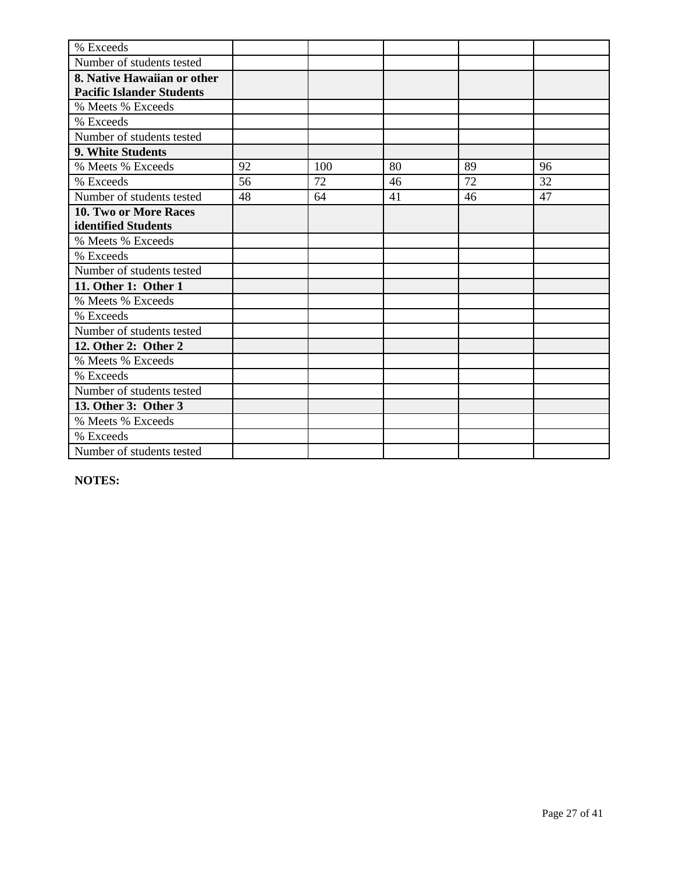| % Exceeds                        |    |     |    |    |    |
|----------------------------------|----|-----|----|----|----|
| Number of students tested        |    |     |    |    |    |
| 8. Native Hawaiian or other      |    |     |    |    |    |
| <b>Pacific Islander Students</b> |    |     |    |    |    |
| % Meets % Exceeds                |    |     |    |    |    |
| % Exceeds                        |    |     |    |    |    |
| Number of students tested        |    |     |    |    |    |
| 9. White Students                |    |     |    |    |    |
| % Meets % Exceeds                | 92 | 100 | 80 | 89 | 96 |
| % Exceeds                        | 56 | 72  | 46 | 72 | 32 |
| Number of students tested        | 48 | 64  | 41 | 46 | 47 |
| <b>10. Two or More Races</b>     |    |     |    |    |    |
| identified Students              |    |     |    |    |    |
| % Meets % Exceeds                |    |     |    |    |    |
| % Exceeds                        |    |     |    |    |    |
| Number of students tested        |    |     |    |    |    |
| 11. Other 1: Other 1             |    |     |    |    |    |
| % Meets % Exceeds                |    |     |    |    |    |
| % Exceeds                        |    |     |    |    |    |
| Number of students tested        |    |     |    |    |    |
| 12. Other 2: Other 2             |    |     |    |    |    |
| % Meets % Exceeds                |    |     |    |    |    |
| % Exceeds                        |    |     |    |    |    |
| Number of students tested        |    |     |    |    |    |
| 13. Other 3: Other 3             |    |     |    |    |    |
| % Meets % Exceeds                |    |     |    |    |    |
| % Exceeds                        |    |     |    |    |    |
| Number of students tested        |    |     |    |    |    |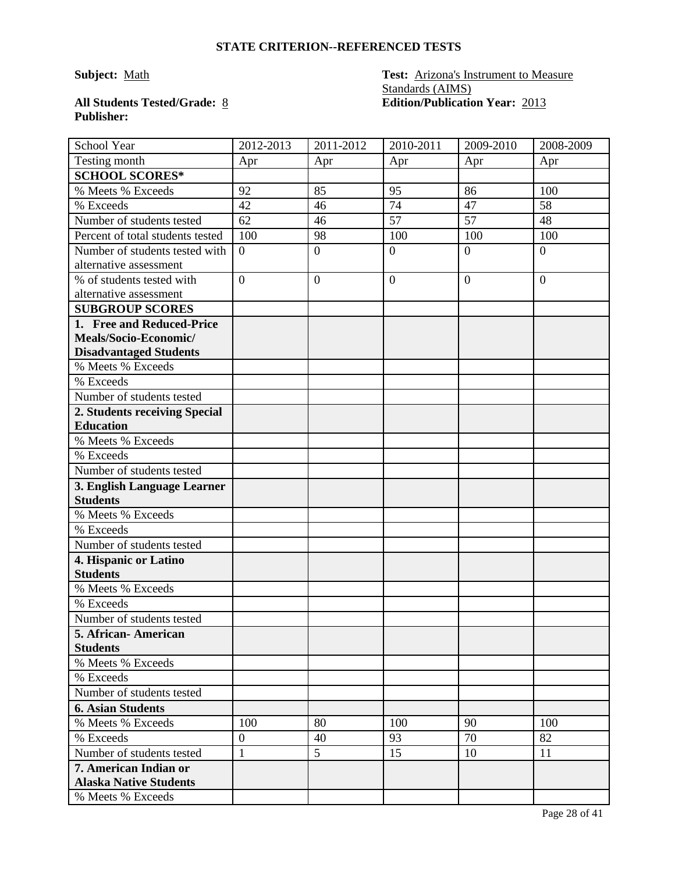# **Publisher:**

**Subject:** Math **Test:** Arizona's Instrument to Measure Standards (AIMS) **All Students Tested/Grade:** 8 **Edition/Publication Year:** 2013

| School Year                      | 2012-2013        | 2011-2012        | 2010-2011      | 2009-2010      | 2008-2009        |
|----------------------------------|------------------|------------------|----------------|----------------|------------------|
| Testing month                    | Apr              | Apr              | Apr            | Apr            | Apr              |
| <b>SCHOOL SCORES*</b>            |                  |                  |                |                |                  |
| % Meets % Exceeds                | 92               | 85               | 95             | 86             | 100              |
| % Exceeds                        | 42               | 46               | 74             | 47             | 58               |
| Number of students tested        | 62               | 46               | 57             | 57             | 48               |
| Percent of total students tested | 100              | 98               | 100            | 100            | 100              |
| Number of students tested with   | $\boldsymbol{0}$ | $\boldsymbol{0}$ | $\overline{0}$ | $\theta$       | $\boldsymbol{0}$ |
| alternative assessment           |                  |                  |                |                |                  |
| % of students tested with        | $\overline{0}$   | $\overline{0}$   | $\overline{0}$ | $\overline{0}$ | $\overline{0}$   |
| alternative assessment           |                  |                  |                |                |                  |
| <b>SUBGROUP SCORES</b>           |                  |                  |                |                |                  |
| 1. Free and Reduced-Price        |                  |                  |                |                |                  |
| Meals/Socio-Economic/            |                  |                  |                |                |                  |
| <b>Disadvantaged Students</b>    |                  |                  |                |                |                  |
| % Meets % Exceeds                |                  |                  |                |                |                  |
| % Exceeds                        |                  |                  |                |                |                  |
| Number of students tested        |                  |                  |                |                |                  |
| 2. Students receiving Special    |                  |                  |                |                |                  |
| <b>Education</b>                 |                  |                  |                |                |                  |
| % Meets % Exceeds                |                  |                  |                |                |                  |
| % Exceeds                        |                  |                  |                |                |                  |
| Number of students tested        |                  |                  |                |                |                  |
| 3. English Language Learner      |                  |                  |                |                |                  |
| <b>Students</b>                  |                  |                  |                |                |                  |
| % Meets % Exceeds                |                  |                  |                |                |                  |
| % Exceeds                        |                  |                  |                |                |                  |
| Number of students tested        |                  |                  |                |                |                  |
| 4. Hispanic or Latino            |                  |                  |                |                |                  |
| <b>Students</b>                  |                  |                  |                |                |                  |
| % Meets % Exceeds                |                  |                  |                |                |                  |
| % Exceeds                        |                  |                  |                |                |                  |
| Number of students tested        |                  |                  |                |                |                  |
| 5. African- American             |                  |                  |                |                |                  |
| <b>Students</b>                  |                  |                  |                |                |                  |
| % Meets % Exceeds                |                  |                  |                |                |                  |
| % Exceeds                        |                  |                  |                |                |                  |
| Number of students tested        |                  |                  |                |                |                  |
| <b>6. Asian Students</b>         |                  |                  |                |                |                  |
| % Meets % Exceeds                | 100              | 80               | 100            | 90             | 100              |
| % Exceeds                        | $\overline{0}$   | 40               | 93             | 70             | 82               |
| Number of students tested        | $\mathbf{1}$     | 5                | 15             | 10             | 11               |
| 7. American Indian or            |                  |                  |                |                |                  |
| <b>Alaska Native Students</b>    |                  |                  |                |                |                  |
| % Meets % Exceeds                |                  |                  |                |                |                  |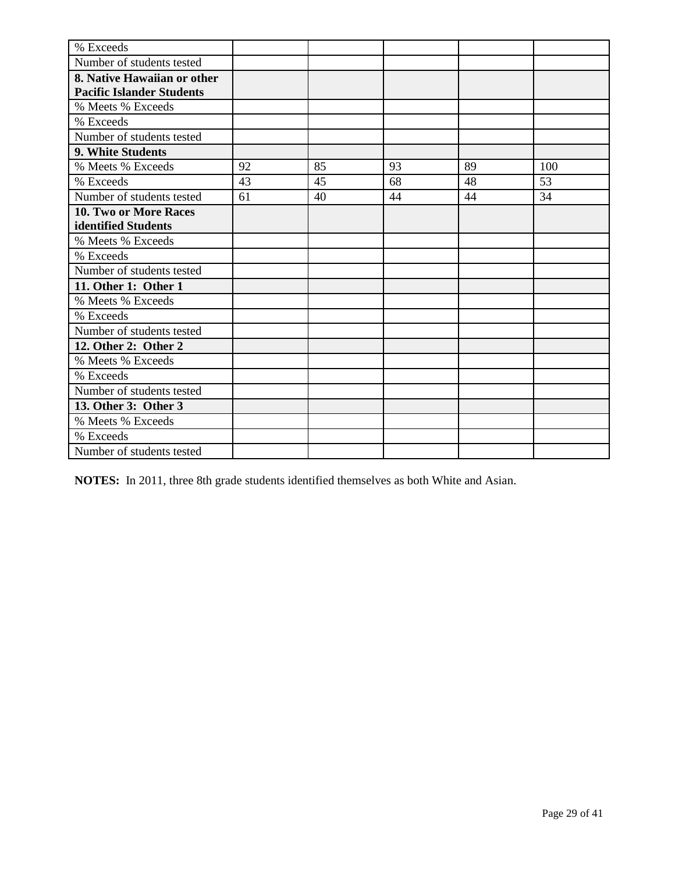| % Exceeds                        |    |    |    |    |     |
|----------------------------------|----|----|----|----|-----|
| Number of students tested        |    |    |    |    |     |
| 8. Native Hawaiian or other      |    |    |    |    |     |
| <b>Pacific Islander Students</b> |    |    |    |    |     |
| % Meets % Exceeds                |    |    |    |    |     |
| % Exceeds                        |    |    |    |    |     |
| Number of students tested        |    |    |    |    |     |
| 9. White Students                |    |    |    |    |     |
| % Meets % Exceeds                | 92 | 85 | 93 | 89 | 100 |
| % Exceeds                        | 43 | 45 | 68 | 48 | 53  |
| Number of students tested        | 61 | 40 | 44 | 44 | 34  |
| 10. Two or More Races            |    |    |    |    |     |
| identified Students              |    |    |    |    |     |
| % Meets % Exceeds                |    |    |    |    |     |
| % Exceeds                        |    |    |    |    |     |
| Number of students tested        |    |    |    |    |     |
| 11. Other 1: Other 1             |    |    |    |    |     |
| % Meets % Exceeds                |    |    |    |    |     |
| % Exceeds                        |    |    |    |    |     |
| Number of students tested        |    |    |    |    |     |
| 12. Other 2: Other 2             |    |    |    |    |     |
| % Meets % Exceeds                |    |    |    |    |     |
| % Exceeds                        |    |    |    |    |     |
| Number of students tested        |    |    |    |    |     |
| 13. Other 3: Other 3             |    |    |    |    |     |
| % Meets % Exceeds                |    |    |    |    |     |
| % Exceeds                        |    |    |    |    |     |
| Number of students tested        |    |    |    |    |     |

**NOTES:** In 2011, three 8th grade students identified themselves as both White and Asian.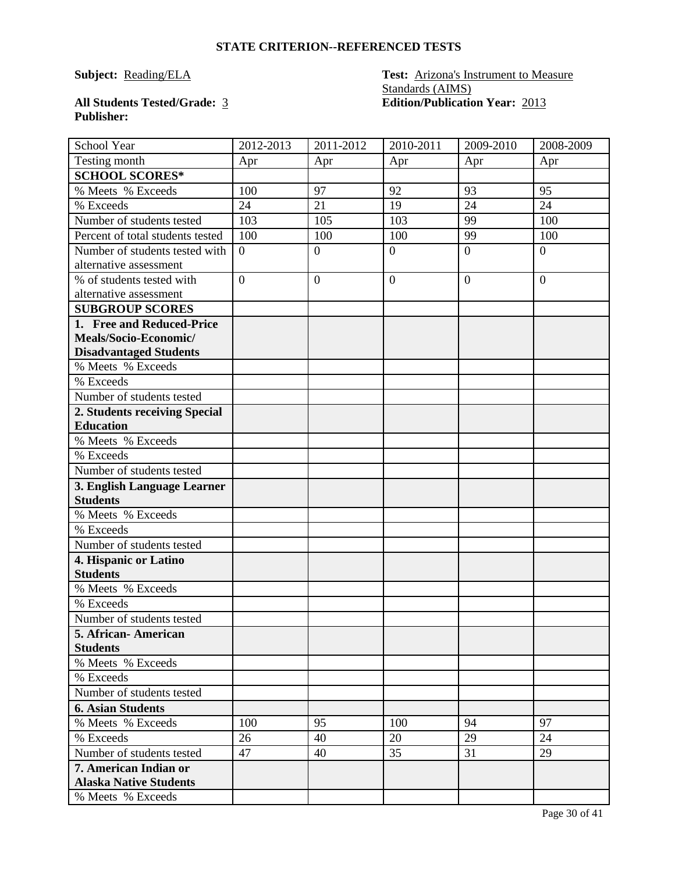#### **Subject: Reading/ELA Test: Arizona's Instrument to Measure** Standards (AIMS) **All Students Tested/Grade:** 3 **Edition/Publication Year:** 2013

## **Publisher:**

| School Year                      | 2012-2013      | 2011-2012      | 2010-2011      | 2009-2010      | 2008-2009      |
|----------------------------------|----------------|----------------|----------------|----------------|----------------|
| Testing month                    | Apr            | Apr            | Apr            | Apr            | Apr            |
| <b>SCHOOL SCORES*</b>            |                |                |                |                |                |
| % Meets % Exceeds                | 100            | 97             | 92             | 93             | 95             |
| % Exceeds                        | 24             | 21             | 19             | 24             | 24             |
| Number of students tested        | 103            | 105            | 103            | 99             | 100            |
| Percent of total students tested | 100            | 100            | 100            | 99             | 100            |
| Number of students tested with   | $\overline{0}$ | $\overline{0}$ | $\overline{0}$ | $\overline{0}$ | $\overline{0}$ |
| alternative assessment           |                |                |                |                |                |
| % of students tested with        | $\overline{0}$ | $\overline{0}$ | $\overline{0}$ | $\theta$       | $\overline{0}$ |
| alternative assessment           |                |                |                |                |                |
| <b>SUBGROUP SCORES</b>           |                |                |                |                |                |
| 1. Free and Reduced-Price        |                |                |                |                |                |
| Meals/Socio-Economic/            |                |                |                |                |                |
| <b>Disadvantaged Students</b>    |                |                |                |                |                |
| % Meets % Exceeds                |                |                |                |                |                |
| % Exceeds                        |                |                |                |                |                |
| Number of students tested        |                |                |                |                |                |
| 2. Students receiving Special    |                |                |                |                |                |
| <b>Education</b>                 |                |                |                |                |                |
| % Meets % Exceeds                |                |                |                |                |                |
| % Exceeds                        |                |                |                |                |                |
| Number of students tested        |                |                |                |                |                |
| 3. English Language Learner      |                |                |                |                |                |
| <b>Students</b>                  |                |                |                |                |                |
| % Meets % Exceeds                |                |                |                |                |                |
| % Exceeds                        |                |                |                |                |                |
| Number of students tested        |                |                |                |                |                |
| 4. Hispanic or Latino            |                |                |                |                |                |
| <b>Students</b>                  |                |                |                |                |                |
| % Meets % Exceeds                |                |                |                |                |                |
| % Exceeds                        |                |                |                |                |                |
| Number of students tested        |                |                |                |                |                |
| 5. African-American              |                |                |                |                |                |
| <b>Students</b>                  |                |                |                |                |                |
| % Meets % Exceeds                |                |                |                |                |                |
| % Exceeds                        |                |                |                |                |                |
| Number of students tested        |                |                |                |                |                |
| <b>6. Asian Students</b>         |                |                |                |                |                |
| % Meets % Exceeds                | 100            | 95             | 100            | 94             | 97             |
| % Exceeds                        | 26             | 40             | 20             | 29             | 24             |
| Number of students tested        | 47             | 40             | 35             | 31             | 29             |
| 7. American Indian or            |                |                |                |                |                |
| <b>Alaska Native Students</b>    |                |                |                |                |                |
| % Meets % Exceeds                |                |                |                |                |                |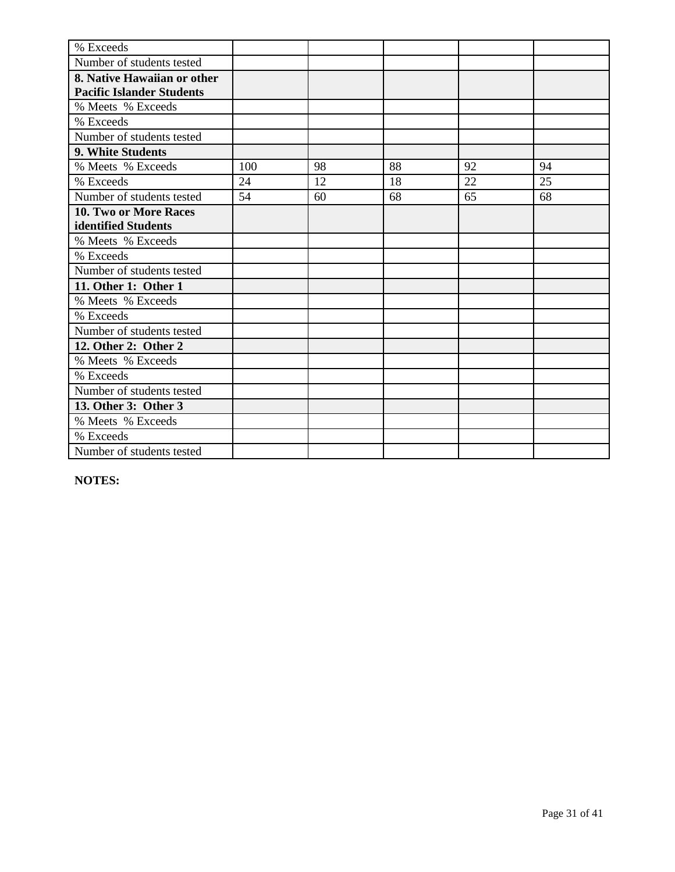| % Exceeds                        |     |    |    |    |    |
|----------------------------------|-----|----|----|----|----|
| Number of students tested        |     |    |    |    |    |
| 8. Native Hawaiian or other      |     |    |    |    |    |
| <b>Pacific Islander Students</b> |     |    |    |    |    |
| % Meets % Exceeds                |     |    |    |    |    |
| % Exceeds                        |     |    |    |    |    |
| Number of students tested        |     |    |    |    |    |
| 9. White Students                |     |    |    |    |    |
| % Meets % Exceeds                | 100 | 98 | 88 | 92 | 94 |
| % Exceeds                        | 24  | 12 | 18 | 22 | 25 |
| Number of students tested        | 54  | 60 | 68 | 65 | 68 |
| <b>10. Two or More Races</b>     |     |    |    |    |    |
| identified Students              |     |    |    |    |    |
| % Meets % Exceeds                |     |    |    |    |    |
| % Exceeds                        |     |    |    |    |    |
| Number of students tested        |     |    |    |    |    |
| 11. Other 1: Other 1             |     |    |    |    |    |
| % Meets % Exceeds                |     |    |    |    |    |
| % Exceeds                        |     |    |    |    |    |
| Number of students tested        |     |    |    |    |    |
| 12. Other 2: Other 2             |     |    |    |    |    |
| % Meets % Exceeds                |     |    |    |    |    |
| % Exceeds                        |     |    |    |    |    |
| Number of students tested        |     |    |    |    |    |
| 13. Other 3: Other 3             |     |    |    |    |    |
| % Meets % Exceeds                |     |    |    |    |    |
| % Exceeds                        |     |    |    |    |    |
| Number of students tested        |     |    |    |    |    |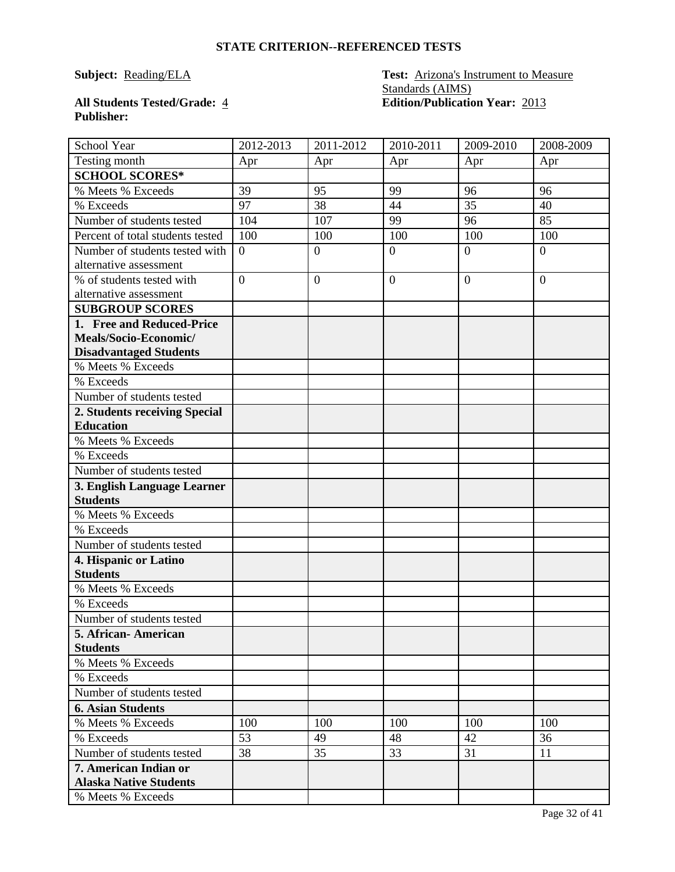### **Subject: Reading/ELA Test: Arizona's Instrument to Measure** Standards (AIMS) **All Students Tested/Grade:** 4 **Edition/Publication Year:** 2013

## **Publisher:**

| School Year                              | 2012-2013      | 2011-2012        | 2010-2011        | 2009-2010       | 2008-2009        |
|------------------------------------------|----------------|------------------|------------------|-----------------|------------------|
| Testing month                            | Apr            | Apr              | Apr              | Apr             | Apr              |
| <b>SCHOOL SCORES*</b>                    |                |                  |                  |                 |                  |
| % Meets % Exceeds                        | 39             | 95               | 99               | 96              | 96               |
| % Exceeds                                | 97             | 38               | 44               | $\overline{35}$ | 40               |
| Number of students tested                | 104            | 107              | 99               | 96              | 85               |
| Percent of total students tested         | 100            | 100              | 100              | 100             | 100              |
| Number of students tested with           | $\overline{0}$ | $\overline{0}$   | $\overline{0}$   | $\overline{0}$  | $\overline{0}$   |
| alternative assessment                   |                |                  |                  |                 |                  |
| % of students tested with                | $\overline{0}$ | $\boldsymbol{0}$ | $\boldsymbol{0}$ | $\overline{0}$  | $\boldsymbol{0}$ |
| alternative assessment                   |                |                  |                  |                 |                  |
| <b>SUBGROUP SCORES</b>                   |                |                  |                  |                 |                  |
| 1. Free and Reduced-Price                |                |                  |                  |                 |                  |
| Meals/Socio-Economic/                    |                |                  |                  |                 |                  |
| <b>Disadvantaged Students</b>            |                |                  |                  |                 |                  |
| % Meets % Exceeds                        |                |                  |                  |                 |                  |
| % Exceeds                                |                |                  |                  |                 |                  |
| Number of students tested                |                |                  |                  |                 |                  |
| 2. Students receiving Special            |                |                  |                  |                 |                  |
| <b>Education</b>                         |                |                  |                  |                 |                  |
| % Meets % Exceeds                        |                |                  |                  |                 |                  |
| % Exceeds                                |                |                  |                  |                 |                  |
| Number of students tested                |                |                  |                  |                 |                  |
| 3. English Language Learner              |                |                  |                  |                 |                  |
| <b>Students</b>                          |                |                  |                  |                 |                  |
| % Meets % Exceeds                        |                |                  |                  |                 |                  |
| % Exceeds                                |                |                  |                  |                 |                  |
| Number of students tested                |                |                  |                  |                 |                  |
| 4. Hispanic or Latino<br><b>Students</b> |                |                  |                  |                 |                  |
| % Meets % Exceeds                        |                |                  |                  |                 |                  |
| % Exceeds                                |                |                  |                  |                 |                  |
| Number of students tested                |                |                  |                  |                 |                  |
| 5. African-American                      |                |                  |                  |                 |                  |
| <b>Students</b>                          |                |                  |                  |                 |                  |
| % Meets % Exceeds                        |                |                  |                  |                 |                  |
| % Exceeds                                |                |                  |                  |                 |                  |
| Number of students tested                |                |                  |                  |                 |                  |
| <b>6. Asian Students</b>                 |                |                  |                  |                 |                  |
| % Meets % Exceeds                        | 100            | 100              | 100              | 100             | 100              |
| % Exceeds                                | 53             | 49               | 48               | 42              | 36               |
| Number of students tested                | 38             | 35               | 33               | 31              | 11               |
| 7. American Indian or                    |                |                  |                  |                 |                  |
| <b>Alaska Native Students</b>            |                |                  |                  |                 |                  |
| % Meets % Exceeds                        |                |                  |                  |                 |                  |
|                                          |                |                  |                  |                 |                  |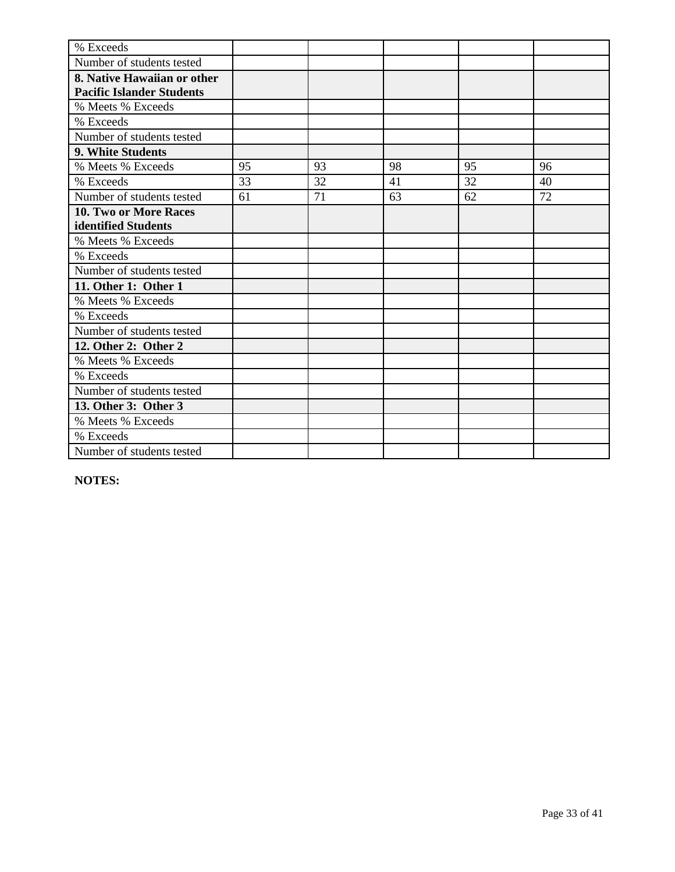| % Exceeds                        |    |    |    |    |    |
|----------------------------------|----|----|----|----|----|
| Number of students tested        |    |    |    |    |    |
| 8. Native Hawaiian or other      |    |    |    |    |    |
| <b>Pacific Islander Students</b> |    |    |    |    |    |
| % Meets % Exceeds                |    |    |    |    |    |
| % Exceeds                        |    |    |    |    |    |
| Number of students tested        |    |    |    |    |    |
| 9. White Students                |    |    |    |    |    |
| % Meets % Exceeds                | 95 | 93 | 98 | 95 | 96 |
| % Exceeds                        | 33 | 32 | 41 | 32 | 40 |
| Number of students tested        | 61 | 71 | 63 | 62 | 72 |
| <b>10. Two or More Races</b>     |    |    |    |    |    |
| identified Students              |    |    |    |    |    |
| % Meets % Exceeds                |    |    |    |    |    |
| % Exceeds                        |    |    |    |    |    |
| Number of students tested        |    |    |    |    |    |
| 11. Other 1: Other 1             |    |    |    |    |    |
| % Meets % Exceeds                |    |    |    |    |    |
| % Exceeds                        |    |    |    |    |    |
| Number of students tested        |    |    |    |    |    |
| 12. Other 2: Other 2             |    |    |    |    |    |
| % Meets % Exceeds                |    |    |    |    |    |
| % Exceeds                        |    |    |    |    |    |
| Number of students tested        |    |    |    |    |    |
| 13. Other 3: Other 3             |    |    |    |    |    |
| % Meets % Exceeds                |    |    |    |    |    |
| % Exceeds                        |    |    |    |    |    |
| Number of students tested        |    |    |    |    |    |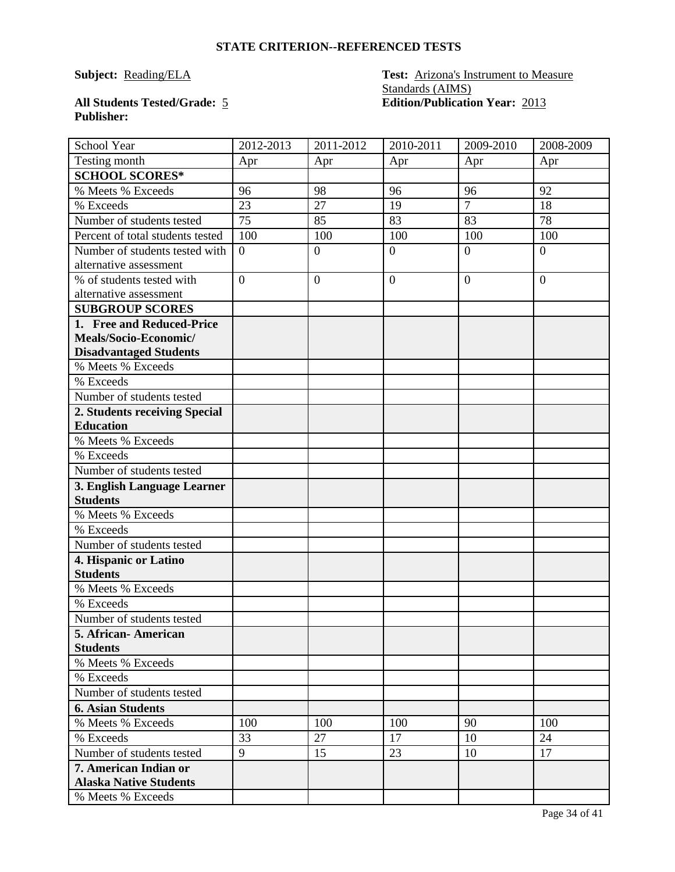### **Subject: Reading/ELA Test: Arizona's Instrument to Measure** Standards (AIMS) **All Students Tested/Grade:** 5 **Edition/Publication Year:** 2013

## **Publisher:**

| School Year                      | 2012-2013      | 2011-2012        | 2010-2011        | 2009-2010        | 2008-2009      |
|----------------------------------|----------------|------------------|------------------|------------------|----------------|
| Testing month                    | Apr            | Apr              | Apr              | Apr              | Apr            |
| <b>SCHOOL SCORES*</b>            |                |                  |                  |                  |                |
| % Meets % Exceeds                | 96             | 98               | 96               | 96               | 92             |
| % Exceeds                        | 23             | 27               | 19               | $\overline{7}$   | 18             |
| Number of students tested        | 75             | 85               | 83               | 83               | 78             |
| Percent of total students tested | 100            | 100              | 100              | 100              | 100            |
| Number of students tested with   | $\overline{0}$ | $\overline{0}$   | $\overline{0}$   | $\overline{0}$   | $\overline{0}$ |
| alternative assessment           |                |                  |                  |                  |                |
| % of students tested with        | $\overline{0}$ | $\boldsymbol{0}$ | $\boldsymbol{0}$ | $\boldsymbol{0}$ | $\overline{0}$ |
| alternative assessment           |                |                  |                  |                  |                |
| <b>SUBGROUP SCORES</b>           |                |                  |                  |                  |                |
| 1. Free and Reduced-Price        |                |                  |                  |                  |                |
| Meals/Socio-Economic/            |                |                  |                  |                  |                |
| <b>Disadvantaged Students</b>    |                |                  |                  |                  |                |
| % Meets % Exceeds                |                |                  |                  |                  |                |
| % Exceeds                        |                |                  |                  |                  |                |
| Number of students tested        |                |                  |                  |                  |                |
| 2. Students receiving Special    |                |                  |                  |                  |                |
| <b>Education</b>                 |                |                  |                  |                  |                |
| % Meets % Exceeds                |                |                  |                  |                  |                |
| % Exceeds                        |                |                  |                  |                  |                |
| Number of students tested        |                |                  |                  |                  |                |
| 3. English Language Learner      |                |                  |                  |                  |                |
| <b>Students</b>                  |                |                  |                  |                  |                |
| % Meets % Exceeds                |                |                  |                  |                  |                |
| % Exceeds                        |                |                  |                  |                  |                |
| Number of students tested        |                |                  |                  |                  |                |
| 4. Hispanic or Latino            |                |                  |                  |                  |                |
| <b>Students</b>                  |                |                  |                  |                  |                |
| % Meets % Exceeds                |                |                  |                  |                  |                |
| % Exceeds                        |                |                  |                  |                  |                |
| Number of students tested        |                |                  |                  |                  |                |
| 5. African-American              |                |                  |                  |                  |                |
| <b>Students</b>                  |                |                  |                  |                  |                |
| % Meets % Exceeds                |                |                  |                  |                  |                |
| % Exceeds                        |                |                  |                  |                  |                |
| Number of students tested        |                |                  |                  |                  |                |
| <b>6. Asian Students</b>         |                |                  |                  |                  |                |
| % Meets % Exceeds                | 100            | 100              | 100              | 90               | 100            |
| % Exceeds                        | 33             | 27               | 17               | 10               | 24             |
| Number of students tested        | 9              | 15               | 23               | 10               | 17             |
| 7. American Indian or            |                |                  |                  |                  |                |
| <b>Alaska Native Students</b>    |                |                  |                  |                  |                |
| % Meets % Exceeds                |                |                  |                  |                  |                |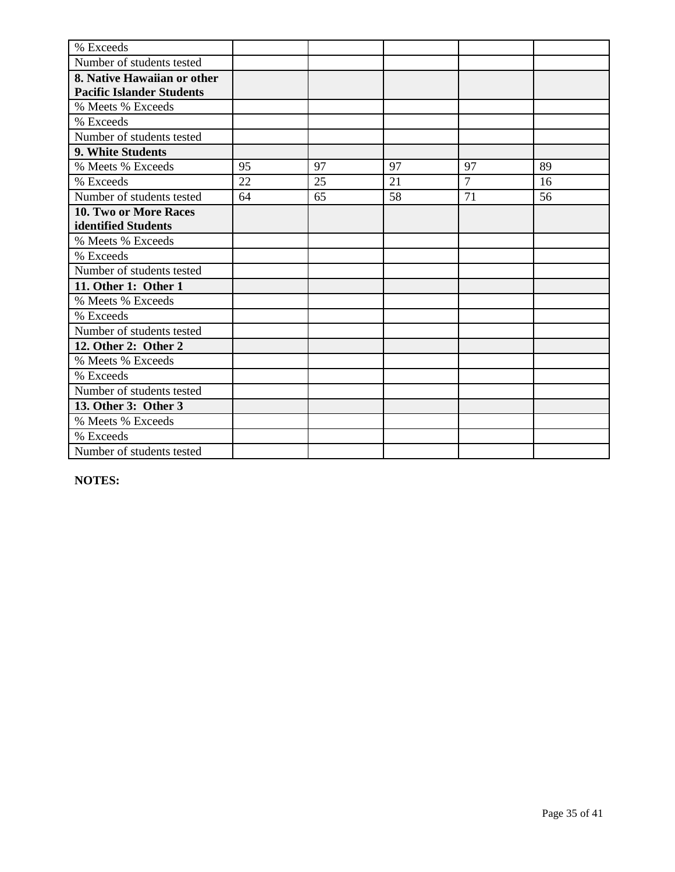| % Exceeds                        |    |    |    |                |    |
|----------------------------------|----|----|----|----------------|----|
| Number of students tested        |    |    |    |                |    |
| 8. Native Hawaiian or other      |    |    |    |                |    |
| <b>Pacific Islander Students</b> |    |    |    |                |    |
| % Meets % Exceeds                |    |    |    |                |    |
| % Exceeds                        |    |    |    |                |    |
| Number of students tested        |    |    |    |                |    |
| 9. White Students                |    |    |    |                |    |
| % Meets % Exceeds                | 95 | 97 | 97 | 97             | 89 |
| % Exceeds                        | 22 | 25 | 21 | $\overline{7}$ | 16 |
| Number of students tested        | 64 | 65 | 58 | 71             | 56 |
| <b>10. Two or More Races</b>     |    |    |    |                |    |
| identified Students              |    |    |    |                |    |
| % Meets % Exceeds                |    |    |    |                |    |
| % Exceeds                        |    |    |    |                |    |
| Number of students tested        |    |    |    |                |    |
| 11. Other 1: Other 1             |    |    |    |                |    |
| % Meets % Exceeds                |    |    |    |                |    |
| % Exceeds                        |    |    |    |                |    |
| Number of students tested        |    |    |    |                |    |
| 12. Other 2: Other 2             |    |    |    |                |    |
| % Meets % Exceeds                |    |    |    |                |    |
| % Exceeds                        |    |    |    |                |    |
| Number of students tested        |    |    |    |                |    |
| 13. Other 3: Other 3             |    |    |    |                |    |
| % Meets % Exceeds                |    |    |    |                |    |
| % Exceeds                        |    |    |    |                |    |
| Number of students tested        |    |    |    |                |    |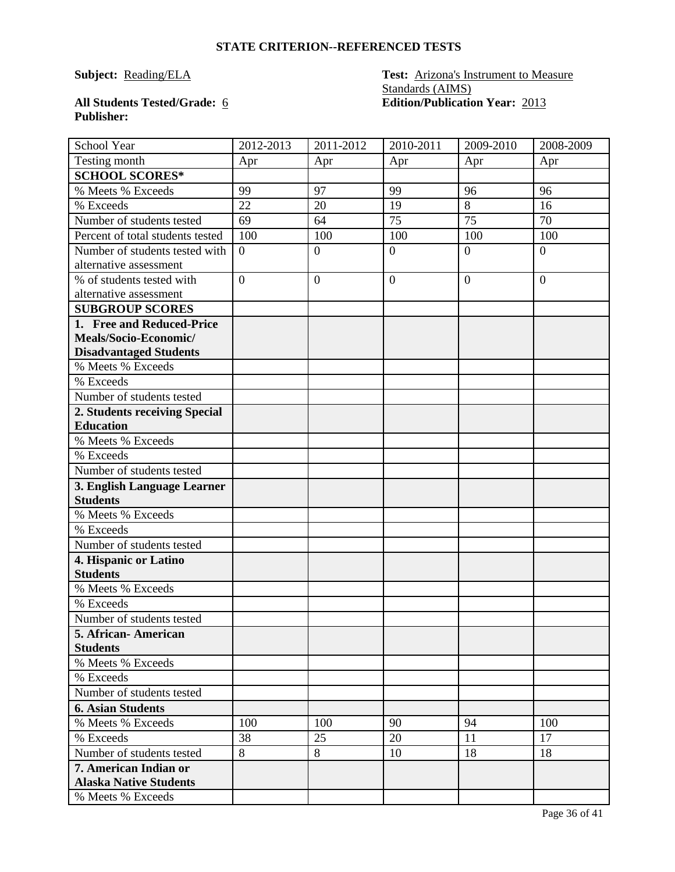#### **Subject: Reading/ELA Test: Arizona's Instrument to Measure** Standards (AIMS) **All Students Tested/Grade:** 6 **Edition/Publication Year:** 2013

## **Publisher:**

| School Year                      | 2012-2013      | 2011-2012      | 2010-2011      | 2009-2010      | 2008-2009      |
|----------------------------------|----------------|----------------|----------------|----------------|----------------|
| Testing month                    | Apr            | Apr            | Apr            | Apr            | Apr            |
| <b>SCHOOL SCORES*</b>            |                |                |                |                |                |
| % Meets % Exceeds                | 99             | 97             | 99             | 96             | 96             |
| % Exceeds                        | 22             | 20             | 19             | 8              | 16             |
| Number of students tested        | 69             | 64             | 75             | 75             | 70             |
| Percent of total students tested | 100            | 100            | 100            | 100            | 100            |
| Number of students tested with   | $\overline{0}$ | $\overline{0}$ | $\overline{0}$ | $\overline{0}$ | $\overline{0}$ |
| alternative assessment           |                |                |                |                |                |
| % of students tested with        | $\overline{0}$ | $\overline{0}$ | $\overline{0}$ | $\theta$       | $\overline{0}$ |
| alternative assessment           |                |                |                |                |                |
| <b>SUBGROUP SCORES</b>           |                |                |                |                |                |
| 1. Free and Reduced-Price        |                |                |                |                |                |
| Meals/Socio-Economic/            |                |                |                |                |                |
| <b>Disadvantaged Students</b>    |                |                |                |                |                |
| % Meets % Exceeds                |                |                |                |                |                |
| % Exceeds                        |                |                |                |                |                |
| Number of students tested        |                |                |                |                |                |
| 2. Students receiving Special    |                |                |                |                |                |
| <b>Education</b>                 |                |                |                |                |                |
| % Meets % Exceeds                |                |                |                |                |                |
| % Exceeds                        |                |                |                |                |                |
| Number of students tested        |                |                |                |                |                |
| 3. English Language Learner      |                |                |                |                |                |
| <b>Students</b>                  |                |                |                |                |                |
| % Meets % Exceeds                |                |                |                |                |                |
| % Exceeds                        |                |                |                |                |                |
| Number of students tested        |                |                |                |                |                |
| 4. Hispanic or Latino            |                |                |                |                |                |
| <b>Students</b>                  |                |                |                |                |                |
| % Meets % Exceeds                |                |                |                |                |                |
| % Exceeds                        |                |                |                |                |                |
| Number of students tested        |                |                |                |                |                |
| 5. African-American              |                |                |                |                |                |
| <b>Students</b>                  |                |                |                |                |                |
| % Meets % Exceeds                |                |                |                |                |                |
| % Exceeds                        |                |                |                |                |                |
| Number of students tested        |                |                |                |                |                |
| <b>6. Asian Students</b>         |                |                |                |                |                |
| % Meets % Exceeds                | 100            | 100            | 90             | 94             | 100            |
| % Exceeds                        | 38             | 25             | 20             | 11             | 17             |
| Number of students tested        | 8              | 8              | 10             | 18             | 18             |
| 7. American Indian or            |                |                |                |                |                |
| <b>Alaska Native Students</b>    |                |                |                |                |                |
| % Meets % Exceeds                |                |                |                |                |                |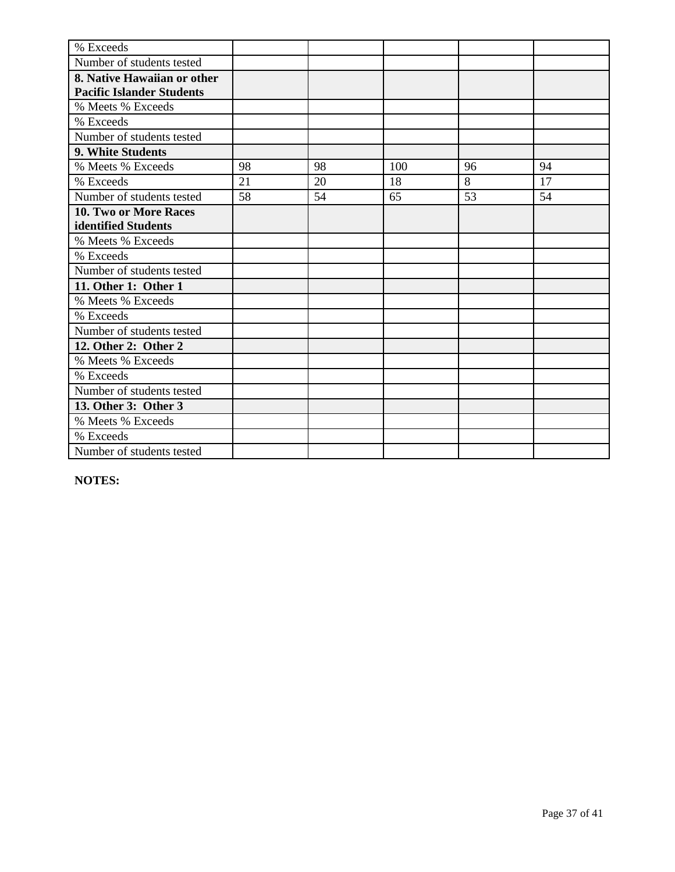| % Exceeds                        |    |    |     |    |    |
|----------------------------------|----|----|-----|----|----|
| Number of students tested        |    |    |     |    |    |
| 8. Native Hawaiian or other      |    |    |     |    |    |
| <b>Pacific Islander Students</b> |    |    |     |    |    |
| % Meets % Exceeds                |    |    |     |    |    |
| % Exceeds                        |    |    |     |    |    |
| Number of students tested        |    |    |     |    |    |
| 9. White Students                |    |    |     |    |    |
| % Meets % Exceeds                | 98 | 98 | 100 | 96 | 94 |
| % Exceeds                        | 21 | 20 | 18  | 8  | 17 |
| Number of students tested        | 58 | 54 | 65  | 53 | 54 |
| <b>10. Two or More Races</b>     |    |    |     |    |    |
| identified Students              |    |    |     |    |    |
| % Meets % Exceeds                |    |    |     |    |    |
| % Exceeds                        |    |    |     |    |    |
| Number of students tested        |    |    |     |    |    |
| 11. Other 1: Other 1             |    |    |     |    |    |
| % Meets % Exceeds                |    |    |     |    |    |
| % Exceeds                        |    |    |     |    |    |
| Number of students tested        |    |    |     |    |    |
| 12. Other 2: Other 2             |    |    |     |    |    |
| % Meets % Exceeds                |    |    |     |    |    |
| % Exceeds                        |    |    |     |    |    |
| Number of students tested        |    |    |     |    |    |
| 13. Other 3: Other 3             |    |    |     |    |    |
| % Meets % Exceeds                |    |    |     |    |    |
| % Exceeds                        |    |    |     |    |    |
| Number of students tested        |    |    |     |    |    |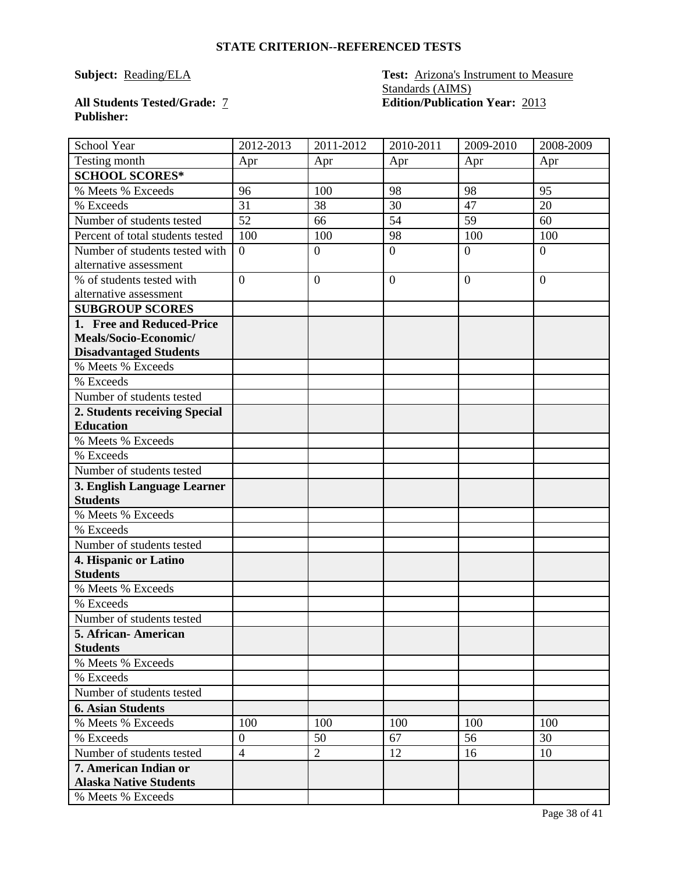#### **Subject: Reading/ELA Test: Arizona's Instrument to Measure** Standards (AIMS) **All Students Tested/Grade:** 7 **Edition/Publication Year:** 2013

## **Publisher:**

| School Year                      | 2012-2013        | 2011-2012        | 2010-2011      | 2009-2010      | 2008-2009      |
|----------------------------------|------------------|------------------|----------------|----------------|----------------|
| Testing month                    | Apr              | Apr              | Apr            | Apr            | Apr            |
| <b>SCHOOL SCORES*</b>            |                  |                  |                |                |                |
| % Meets % Exceeds                | 96               | 100              | 98             | 98             | 95             |
| % Exceeds                        | 31               | 38               | 30             | 47             | 20             |
| Number of students tested        | 52               | 66               | 54             | 59             | 60             |
| Percent of total students tested | 100              | 100              | 98             | 100            | 100            |
| Number of students tested with   | $\overline{0}$   | $\boldsymbol{0}$ | $\overline{0}$ | $\overline{0}$ | $\overline{0}$ |
| alternative assessment           |                  |                  |                |                |                |
| % of students tested with        | $\overline{0}$   | $\boldsymbol{0}$ | $\overline{0}$ | $\overline{0}$ | $\overline{0}$ |
| alternative assessment           |                  |                  |                |                |                |
| <b>SUBGROUP SCORES</b>           |                  |                  |                |                |                |
| 1. Free and Reduced-Price        |                  |                  |                |                |                |
| Meals/Socio-Economic/            |                  |                  |                |                |                |
| <b>Disadvantaged Students</b>    |                  |                  |                |                |                |
| % Meets % Exceeds                |                  |                  |                |                |                |
| % Exceeds                        |                  |                  |                |                |                |
| Number of students tested        |                  |                  |                |                |                |
| 2. Students receiving Special    |                  |                  |                |                |                |
| <b>Education</b>                 |                  |                  |                |                |                |
| % Meets % Exceeds                |                  |                  |                |                |                |
| % Exceeds                        |                  |                  |                |                |                |
| Number of students tested        |                  |                  |                |                |                |
| 3. English Language Learner      |                  |                  |                |                |                |
| <b>Students</b>                  |                  |                  |                |                |                |
| % Meets % Exceeds                |                  |                  |                |                |                |
| % Exceeds                        |                  |                  |                |                |                |
| Number of students tested        |                  |                  |                |                |                |
| 4. Hispanic or Latino            |                  |                  |                |                |                |
| <b>Students</b>                  |                  |                  |                |                |                |
| % Meets % Exceeds                |                  |                  |                |                |                |
| % Exceeds                        |                  |                  |                |                |                |
| Number of students tested        |                  |                  |                |                |                |
| 5. African-American              |                  |                  |                |                |                |
| <b>Students</b>                  |                  |                  |                |                |                |
| % Meets % Exceeds                |                  |                  |                |                |                |
| % Exceeds                        |                  |                  |                |                |                |
| Number of students tested        |                  |                  |                |                |                |
| <b>6. Asian Students</b>         |                  |                  |                |                |                |
| % Meets % Exceeds                | 100              | 100              | 100            | 100            | 100            |
| % Exceeds                        | $\boldsymbol{0}$ | 50               | 67             | 56             | 30             |
| Number of students tested        | $\overline{4}$   | $\overline{2}$   | 12             | 16             | 10             |
| 7. American Indian or            |                  |                  |                |                |                |
| <b>Alaska Native Students</b>    |                  |                  |                |                |                |
| % Meets % Exceeds                |                  |                  |                |                |                |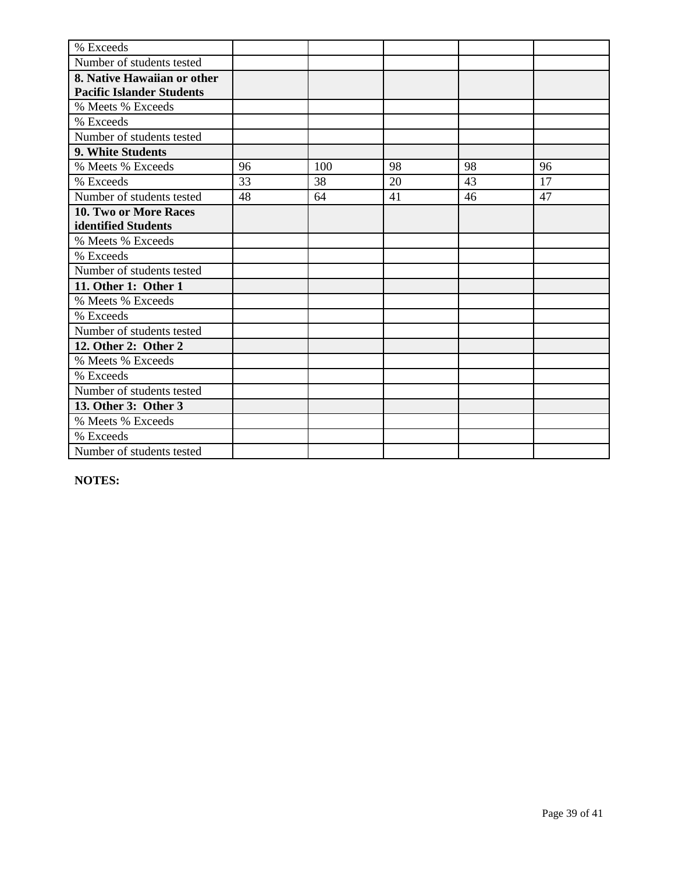| % Exceeds                        |    |     |    |    |    |
|----------------------------------|----|-----|----|----|----|
| Number of students tested        |    |     |    |    |    |
| 8. Native Hawaiian or other      |    |     |    |    |    |
| <b>Pacific Islander Students</b> |    |     |    |    |    |
| % Meets % Exceeds                |    |     |    |    |    |
| % Exceeds                        |    |     |    |    |    |
| Number of students tested        |    |     |    |    |    |
| 9. White Students                |    |     |    |    |    |
| % Meets % Exceeds                | 96 | 100 | 98 | 98 | 96 |
| % Exceeds                        | 33 | 38  | 20 | 43 | 17 |
| Number of students tested        | 48 | 64  | 41 | 46 | 47 |
| <b>10. Two or More Races</b>     |    |     |    |    |    |
| identified Students              |    |     |    |    |    |
| % Meets % Exceeds                |    |     |    |    |    |
| % Exceeds                        |    |     |    |    |    |
| Number of students tested        |    |     |    |    |    |
| 11. Other 1: Other 1             |    |     |    |    |    |
| % Meets % Exceeds                |    |     |    |    |    |
| % Exceeds                        |    |     |    |    |    |
| Number of students tested        |    |     |    |    |    |
| 12. Other 2: Other 2             |    |     |    |    |    |
| % Meets % Exceeds                |    |     |    |    |    |
| % Exceeds                        |    |     |    |    |    |
| Number of students tested        |    |     |    |    |    |
| 13. Other 3: Other 3             |    |     |    |    |    |
| % Meets % Exceeds                |    |     |    |    |    |
| % Exceeds                        |    |     |    |    |    |
| Number of students tested        |    |     |    |    |    |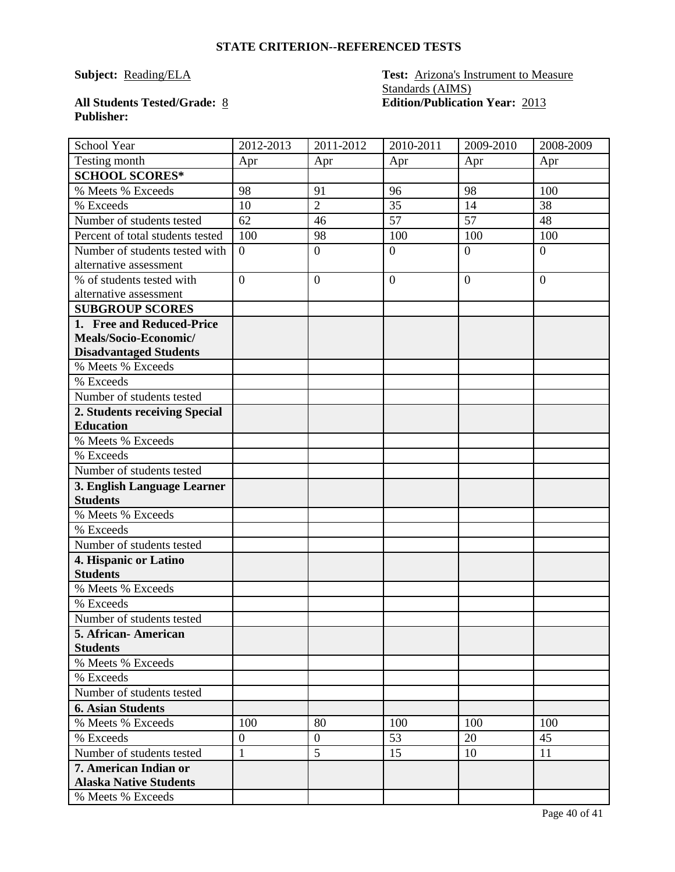#### **Subject: Reading/ELA Test: Arizona's Instrument to Measure** Standards (AIMS) **All Students Tested/Grade:** 8 **Edition/Publication Year:** 2013

## **Publisher:**

| School Year                                            | 2012-2013        | 2011-2012      | 2010-2011      | 2009-2010      | 2008-2009      |
|--------------------------------------------------------|------------------|----------------|----------------|----------------|----------------|
| Testing month                                          | Apr              | Apr            | Apr            | Apr            | Apr            |
| <b>SCHOOL SCORES*</b>                                  |                  |                |                |                |                |
| % Meets % Exceeds                                      | 98               | 91             | 96             | 98             | 100            |
| % Exceeds                                              | 10               | $\overline{2}$ | 35             | 14             | 38             |
| Number of students tested                              | 62               | 46             | 57             | 57             | 48             |
| Percent of total students tested                       | 100              | 98             | 100            | 100            | 100            |
| Number of students tested with                         | $\overline{0}$   | $\overline{0}$ | $\overline{0}$ | $\overline{0}$ | $\overline{0}$ |
| alternative assessment                                 |                  |                |                |                |                |
| % of students tested with                              | $\overline{0}$   | $\overline{0}$ | $\overline{0}$ | $\theta$       | $\overline{0}$ |
| alternative assessment                                 |                  |                |                |                |                |
| <b>SUBGROUP SCORES</b>                                 |                  |                |                |                |                |
| 1. Free and Reduced-Price                              |                  |                |                |                |                |
| Meals/Socio-Economic/                                  |                  |                |                |                |                |
| <b>Disadvantaged Students</b>                          |                  |                |                |                |                |
| % Meets % Exceeds                                      |                  |                |                |                |                |
| % Exceeds                                              |                  |                |                |                |                |
| Number of students tested                              |                  |                |                |                |                |
| 2. Students receiving Special                          |                  |                |                |                |                |
| <b>Education</b>                                       |                  |                |                |                |                |
| % Meets % Exceeds                                      |                  |                |                |                |                |
| % Exceeds                                              |                  |                |                |                |                |
| Number of students tested                              |                  |                |                |                |                |
| 3. English Language Learner                            |                  |                |                |                |                |
| <b>Students</b>                                        |                  |                |                |                |                |
| % Meets % Exceeds                                      |                  |                |                |                |                |
| % Exceeds                                              |                  |                |                |                |                |
| Number of students tested                              |                  |                |                |                |                |
| 4. Hispanic or Latino                                  |                  |                |                |                |                |
| <b>Students</b>                                        |                  |                |                |                |                |
| % Meets % Exceeds                                      |                  |                |                |                |                |
| % Exceeds                                              |                  |                |                |                |                |
| Number of students tested                              |                  |                |                |                |                |
| 5. African-American                                    |                  |                |                |                |                |
| <b>Students</b><br>% Meets % Exceeds                   |                  |                |                |                |                |
| % Exceeds                                              |                  |                |                |                |                |
| Number of students tested                              |                  |                |                |                |                |
|                                                        |                  |                |                |                |                |
| <b>6. Asian Students</b>                               |                  |                |                |                |                |
| % Meets % Exceeds                                      | 100              | 80             | 100            | 100            | 100            |
| % Exceeds                                              | $\boldsymbol{0}$ | $\overline{0}$ | 53             | 20             | 45             |
| Number of students tested                              | $\mathbf{1}$     | 5              | 15             | 10             | 11             |
| 7. American Indian or<br><b>Alaska Native Students</b> |                  |                |                |                |                |
| % Meets % Exceeds                                      |                  |                |                |                |                |
|                                                        |                  |                |                |                |                |